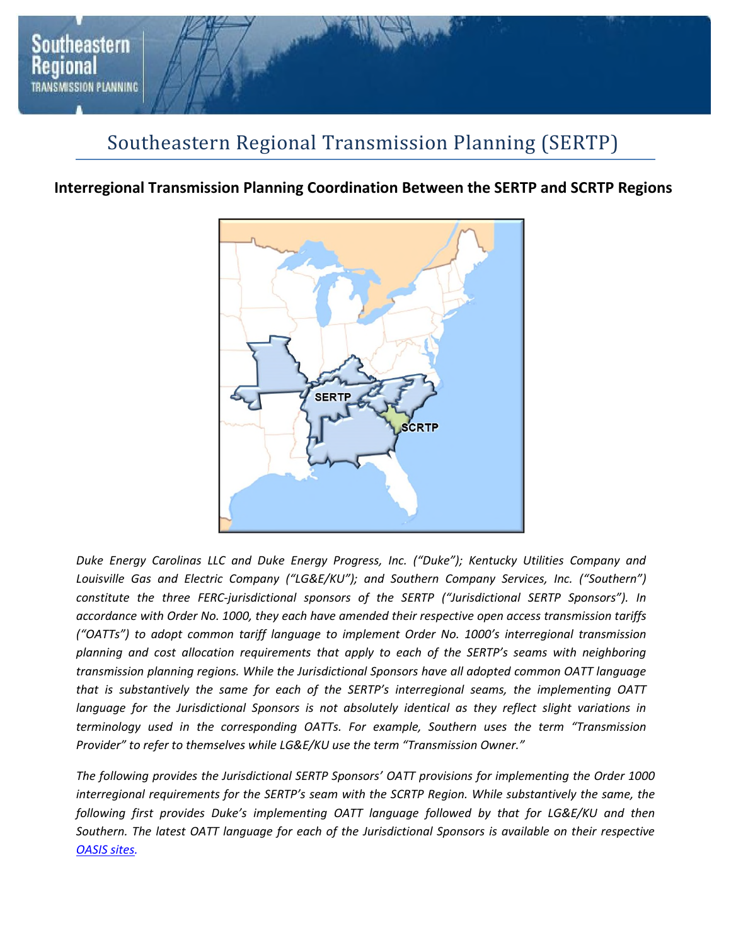

## Southeastern Regional Transmission Planning (SERTP)

## **Interregional Transmission Planning Coordination Between the SERTP and SCRTP Regions**



*Duke Energy Carolinas LLC and Duke Energy Progress, Inc. ("Duke"); Kentucky Utilities Company and*  Louisville Gas and Electric Company ("LG&E/KU"); and Southern Company Services, Inc. ("Southern") *constitute the three FERC-jurisdictional sponsors of the SERTP ("Jurisdictional SERTP Sponsors"). In accordance with Order No. 1000, they each have amended their respective open access transmission tariffs ("OATTs") to adopt common tariff language to implement Order No. 1000's interregional transmission planning and cost allocation requirements that apply to each of the SERTP's seams with neighboring transmission planning regions. While the Jurisdictional Sponsors have all adopted common OATT language that is substantively the same for each of the SERTP's interregional seams, the implementing OATT*  language for the Jurisdictional Sponsors is not absolutely identical as they reflect slight variations in *terminology used in the corresponding OATTs. For example, Southern uses the term "Transmission Provider" to refer to themselves while LG&E/KU use the term "Transmission Owner."* 

*The following provides the Jurisdictional SERTP Sponsors' OATT provisions for implementing the Order 1000 interregional requirements for the SERTP's seam with the SCRTP Region. While substantively the same, the following first provides Duke's implementing OATT language followed by that for LG&E/KU and then Southern. The latest OATT language for each of the Jurisdictional Sponsors is available on their respective OASIS sites.*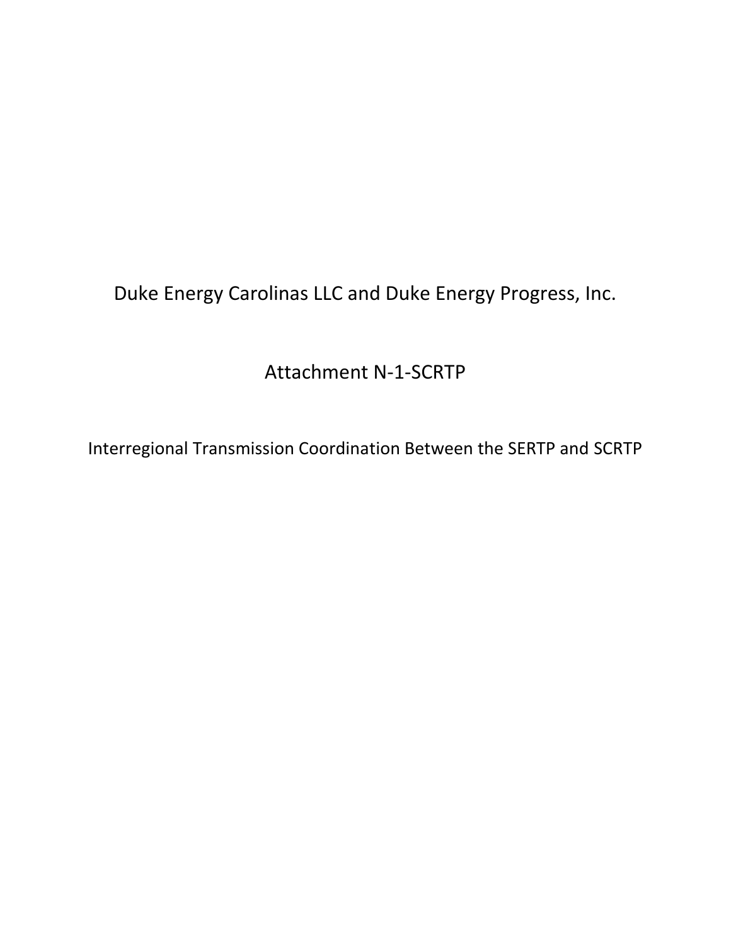Duke Energy Carolinas LLC and Duke Energy Progress, Inc.

Attachment N-1-SCRTP

Interregional Transmission Coordination Between the SERTP and SCRTP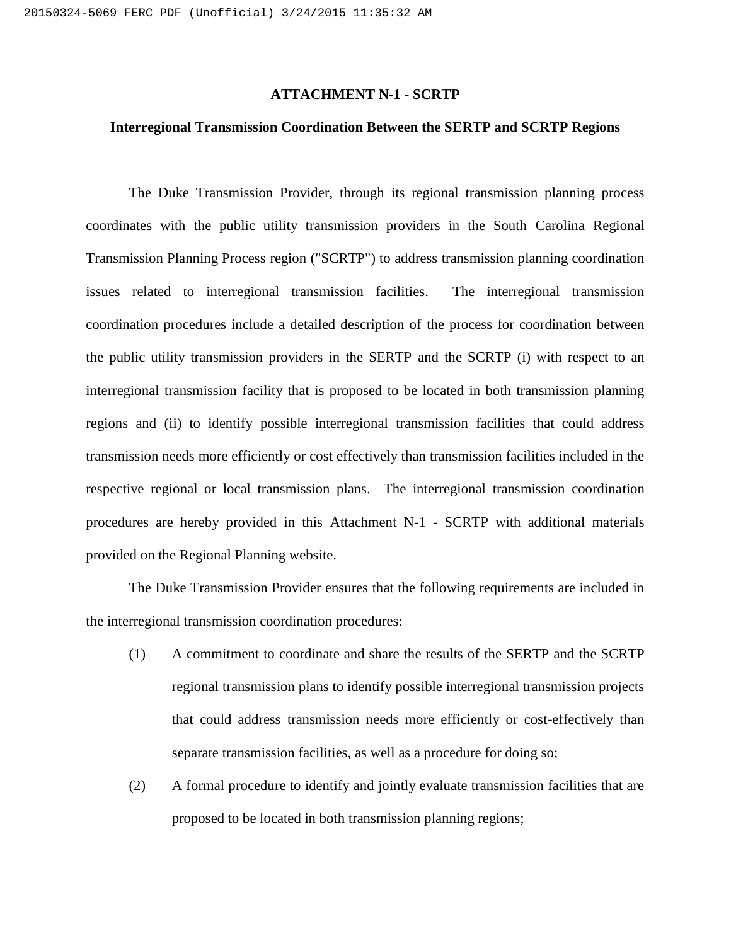#### **ATTACHMENT N-1 - SCRTP**

#### **Interregional Transmission Coordination Between the SERTP and SCRTP Regions**

The Duke Transmission Provider, through its regional transmission planning process coordinates with the public utility transmission providers in the South Carolina Regional Transmission Planning Process region ("SCRTP") to address transmission planning coordination issues related to interregional transmission facilities. The interregional transmission coordination procedures include a detailed description of the process for coordination between the public utility transmission providers in the SERTP and the SCRTP (i) with respect to an interregional transmission facility that is proposed to be located in both transmission planning regions and (ii) to identify possible interregional transmission facilities that could address transmission needs more efficiently or cost effectively than transmission facilities included in the respective regional or local transmission plans. The interregional transmission coordination procedures are hereby provided in this Attachment N-1 - SCRTP with additional materials provided on the Regional Planning website.

The Duke Transmission Provider ensures that the following requirements are included in the interregional transmission coordination procedures:

- (1) A commitment to coordinate and share the results of the SERTP and the SCRTP regional transmission plans to identify possible interregional transmission projects that could address transmission needs more efficiently or cost-effectively than separate transmission facilities, as well as a procedure for doing so;
- (2) A formal procedure to identify and jointly evaluate transmission facilities that are proposed to be located in both transmission planning regions;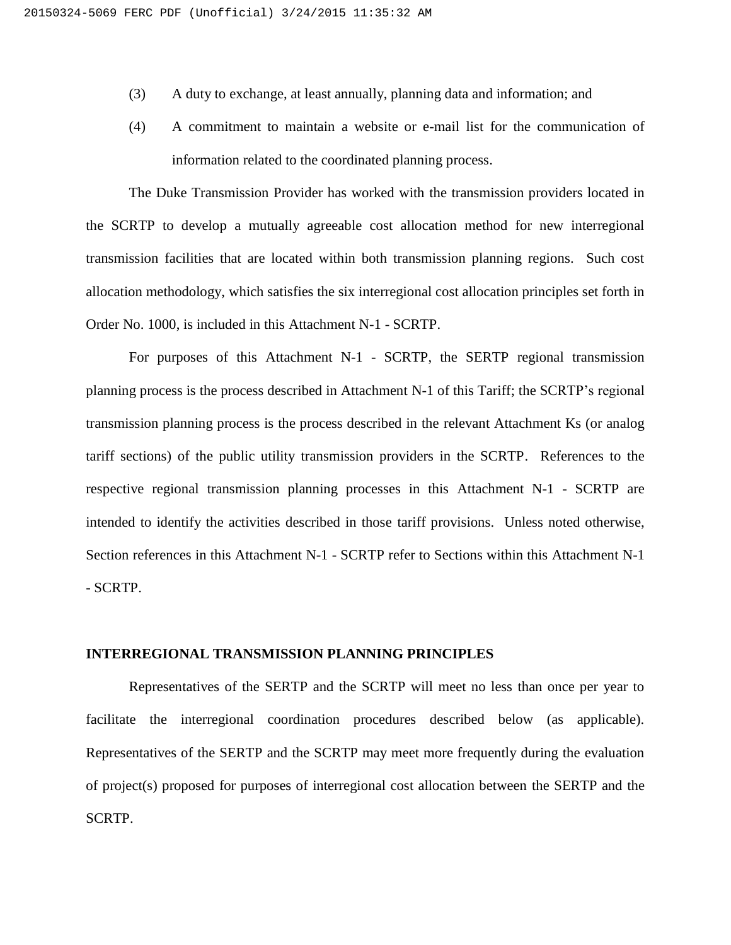- (3) A duty to exchange, at least annually, planning data and information; and
- (4) A commitment to maintain a website or e-mail list for the communication of information related to the coordinated planning process.

The Duke Transmission Provider has worked with the transmission providers located in the SCRTP to develop a mutually agreeable cost allocation method for new interregional transmission facilities that are located within both transmission planning regions. Such cost allocation methodology, which satisfies the six interregional cost allocation principles set forth in Order No. 1000, is included in this Attachment N-1 - SCRTP.

For purposes of this Attachment N-1 - SCRTP, the SERTP regional transmission planning process is the process described in Attachment N-1 of this Tariff; the SCRTP's regional transmission planning process is the process described in the relevant Attachment Ks (or analog tariff sections) of the public utility transmission providers in the SCRTP. References to the respective regional transmission planning processes in this Attachment N-1 - SCRTP are intended to identify the activities described in those tariff provisions. Unless noted otherwise, Section references in this Attachment N-1 - SCRTP refer to Sections within this Attachment N-1 - SCRTP.

#### **INTERREGIONAL TRANSMISSION PLANNING PRINCIPLES**

Representatives of the SERTP and the SCRTP will meet no less than once per year to facilitate the interregional coordination procedures described below (as applicable). Representatives of the SERTP and the SCRTP may meet more frequently during the evaluation of project(s) proposed for purposes of interregional cost allocation between the SERTP and the SCRTP.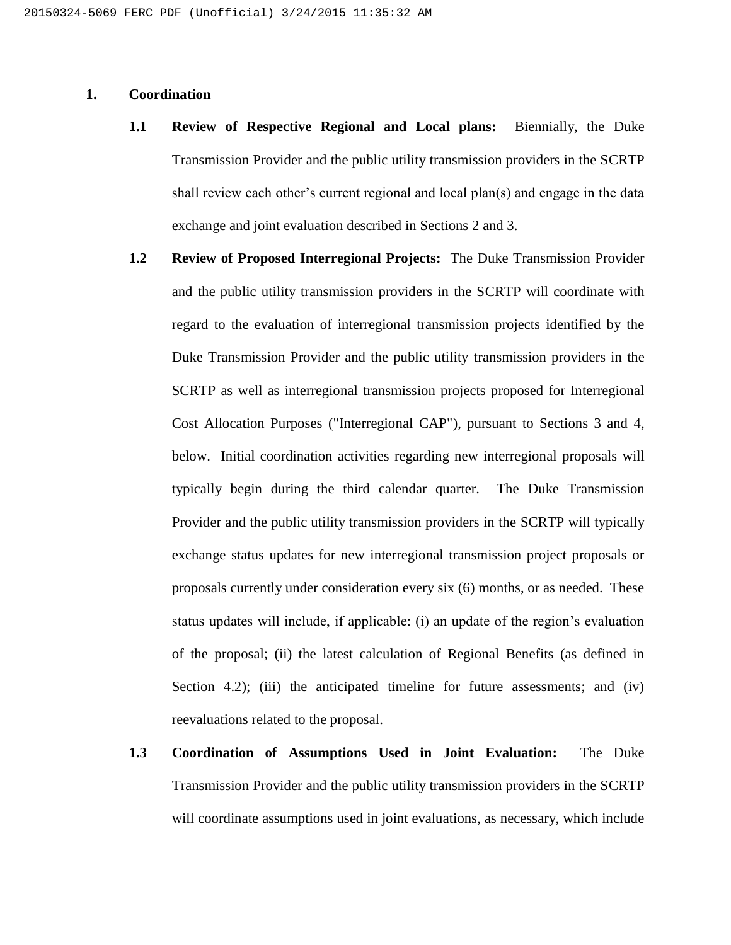## **1. Coordination**

- **1.1 Review of Respective Regional and Local plans:** Biennially, the Duke Transmission Provider and the public utility transmission providers in the SCRTP shall review each other's current regional and local plan(s) and engage in the data exchange and joint evaluation described in Sections 2 and 3.
- **1.2 Review of Proposed Interregional Projects:** The Duke Transmission Provider and the public utility transmission providers in the SCRTP will coordinate with regard to the evaluation of interregional transmission projects identified by the Duke Transmission Provider and the public utility transmission providers in the SCRTP as well as interregional transmission projects proposed for Interregional Cost Allocation Purposes ("Interregional CAP"), pursuant to Sections 3 and 4, below. Initial coordination activities regarding new interregional proposals will typically begin during the third calendar quarter. The Duke Transmission Provider and the public utility transmission providers in the SCRTP will typically exchange status updates for new interregional transmission project proposals or proposals currently under consideration every six (6) months, or as needed. These status updates will include, if applicable: (i) an update of the region's evaluation of the proposal; (ii) the latest calculation of Regional Benefits (as defined in Section 4.2); (iii) the anticipated timeline for future assessments; and (iv) reevaluations related to the proposal.
- **1.3 Coordination of Assumptions Used in Joint Evaluation:** The Duke Transmission Provider and the public utility transmission providers in the SCRTP will coordinate assumptions used in joint evaluations, as necessary, which include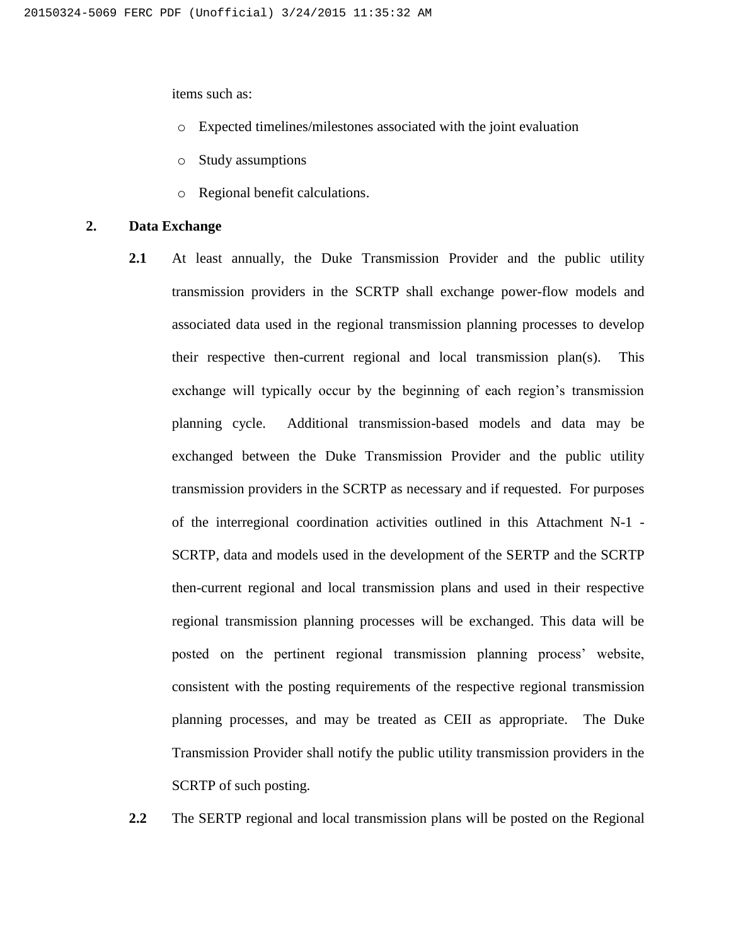items such as:

- o Expected timelines/milestones associated with the joint evaluation
- o Study assumptions
- o Regional benefit calculations.

#### **2. Data Exchange**

**2.1** At least annually, the Duke Transmission Provider and the public utility transmission providers in the SCRTP shall exchange power-flow models and associated data used in the regional transmission planning processes to develop their respective then-current regional and local transmission plan(s). This exchange will typically occur by the beginning of each region's transmission planning cycle. Additional transmission-based models and data may be exchanged between the Duke Transmission Provider and the public utility transmission providers in the SCRTP as necessary and if requested. For purposes of the interregional coordination activities outlined in this Attachment N-1 - SCRTP, data and models used in the development of the SERTP and the SCRTP then-current regional and local transmission plans and used in their respective regional transmission planning processes will be exchanged. This data will be posted on the pertinent regional transmission planning process' website, consistent with the posting requirements of the respective regional transmission planning processes, and may be treated as CEII as appropriate. The Duke Transmission Provider shall notify the public utility transmission providers in the SCRTP of such posting.

**2.2** The SERTP regional and local transmission plans will be posted on the Regional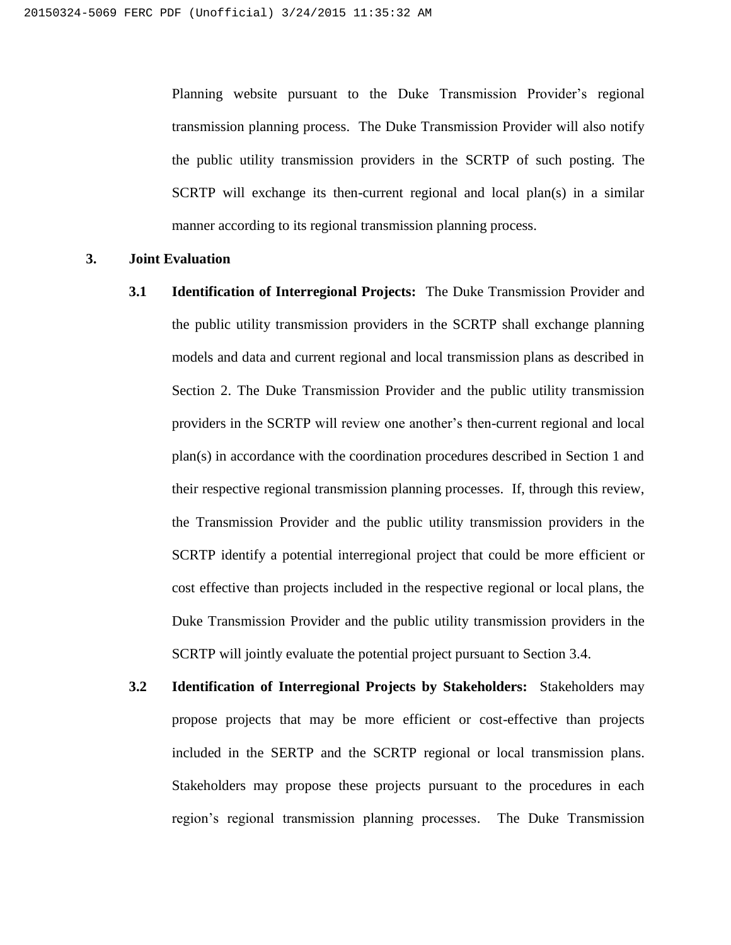Planning website pursuant to the Duke Transmission Provider's regional transmission planning process. The Duke Transmission Provider will also notify the public utility transmission providers in the SCRTP of such posting. The SCRTP will exchange its then-current regional and local plan(s) in a similar manner according to its regional transmission planning process.

#### **3. Joint Evaluation**

- **3.1 Identification of Interregional Projects:** The Duke Transmission Provider and the public utility transmission providers in the SCRTP shall exchange planning models and data and current regional and local transmission plans as described in Section 2. The Duke Transmission Provider and the public utility transmission providers in the SCRTP will review one another's then-current regional and local plan(s) in accordance with the coordination procedures described in Section 1 and their respective regional transmission planning processes. If, through this review, the Transmission Provider and the public utility transmission providers in the SCRTP identify a potential interregional project that could be more efficient or cost effective than projects included in the respective regional or local plans, the Duke Transmission Provider and the public utility transmission providers in the SCRTP will jointly evaluate the potential project pursuant to Section 3.4.
- **3.2 Identification of Interregional Projects by Stakeholders:** Stakeholders may propose projects that may be more efficient or cost-effective than projects included in the SERTP and the SCRTP regional or local transmission plans. Stakeholders may propose these projects pursuant to the procedures in each region's regional transmission planning processes. The Duke Transmission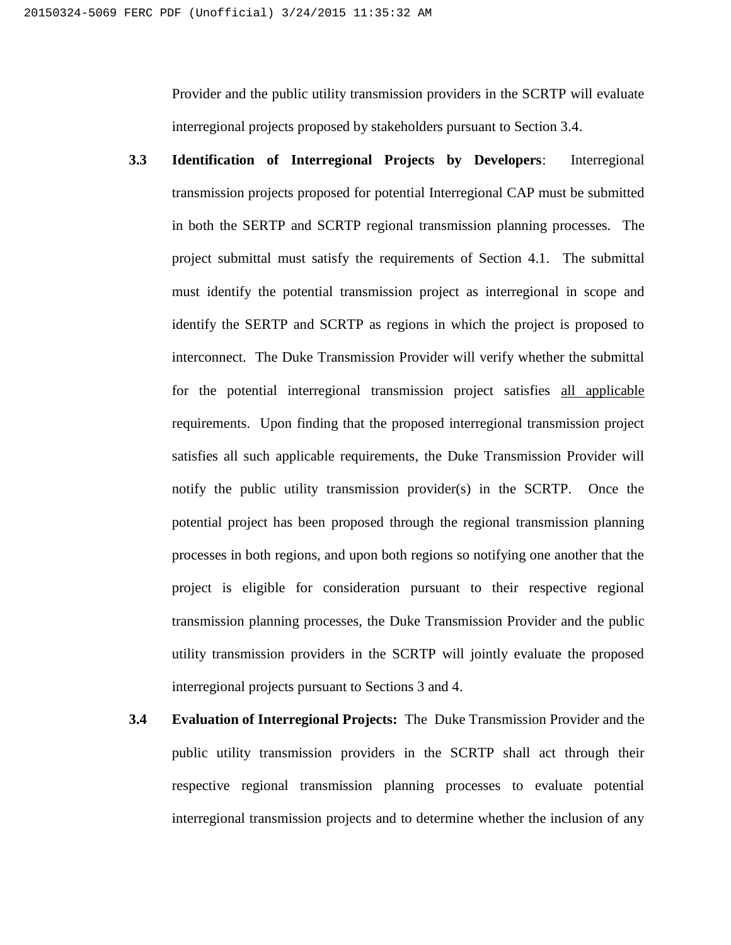Provider and the public utility transmission providers in the SCRTP will evaluate interregional projects proposed by stakeholders pursuant to Section 3.4.

- **3.3 Identification of Interregional Projects by Developers**: Interregional transmission projects proposed for potential Interregional CAP must be submitted in both the SERTP and SCRTP regional transmission planning processes. The project submittal must satisfy the requirements of Section 4.1. The submittal must identify the potential transmission project as interregional in scope and identify the SERTP and SCRTP as regions in which the project is proposed to interconnect. The Duke Transmission Provider will verify whether the submittal for the potential interregional transmission project satisfies all applicable requirements. Upon finding that the proposed interregional transmission project satisfies all such applicable requirements, the Duke Transmission Provider will notify the public utility transmission provider(s) in the SCRTP. Once the potential project has been proposed through the regional transmission planning processes in both regions, and upon both regions so notifying one another that the project is eligible for consideration pursuant to their respective regional transmission planning processes, the Duke Transmission Provider and the public utility transmission providers in the SCRTP will jointly evaluate the proposed interregional projects pursuant to Sections 3 and 4.
- **3.4 Evaluation of Interregional Projects:** The Duke Transmission Provider and the public utility transmission providers in the SCRTP shall act through their respective regional transmission planning processes to evaluate potential interregional transmission projects and to determine whether the inclusion of any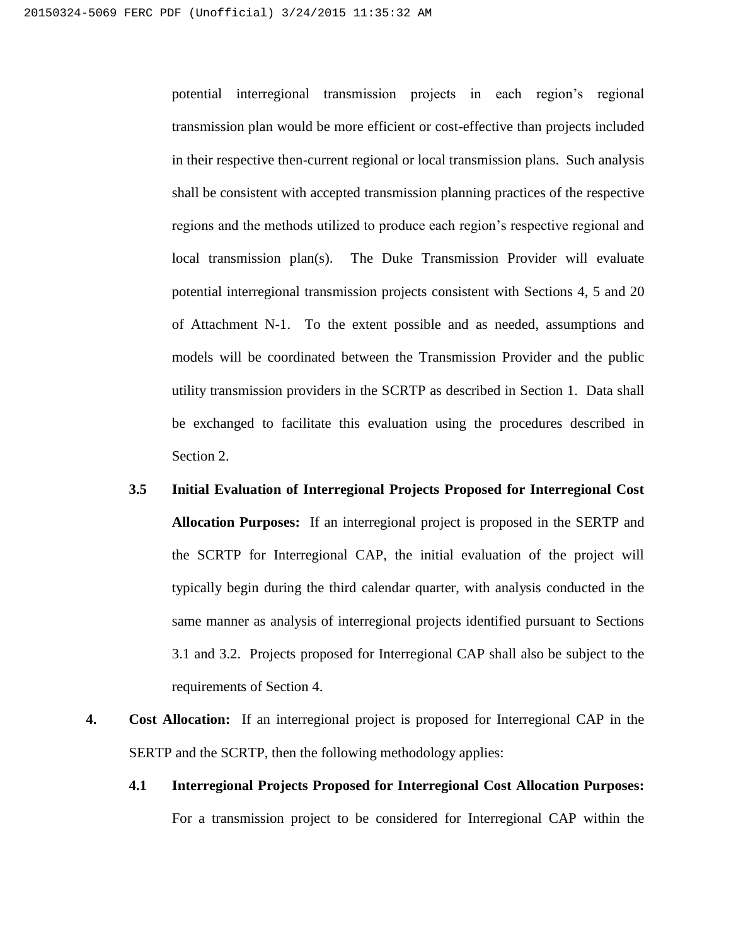potential interregional transmission projects in each region's regional transmission plan would be more efficient or cost-effective than projects included in their respective then-current regional or local transmission plans. Such analysis shall be consistent with accepted transmission planning practices of the respective regions and the methods utilized to produce each region's respective regional and local transmission plan(s). The Duke Transmission Provider will evaluate potential interregional transmission projects consistent with Sections 4, 5 and 20 of Attachment N-1. To the extent possible and as needed, assumptions and models will be coordinated between the Transmission Provider and the public utility transmission providers in the SCRTP as described in Section 1. Data shall be exchanged to facilitate this evaluation using the procedures described in Section 2.

- **3.5 Initial Evaluation of Interregional Projects Proposed for Interregional Cost Allocation Purposes:** If an interregional project is proposed in the SERTP and the SCRTP for Interregional CAP, the initial evaluation of the project will typically begin during the third calendar quarter, with analysis conducted in the same manner as analysis of interregional projects identified pursuant to Sections 3.1 and 3.2. Projects proposed for Interregional CAP shall also be subject to the requirements of Section 4.
- **4. Cost Allocation:** If an interregional project is proposed for Interregional CAP in the SERTP and the SCRTP, then the following methodology applies:
	- **4.1 Interregional Projects Proposed for Interregional Cost Allocation Purposes:** For a transmission project to be considered for Interregional CAP within the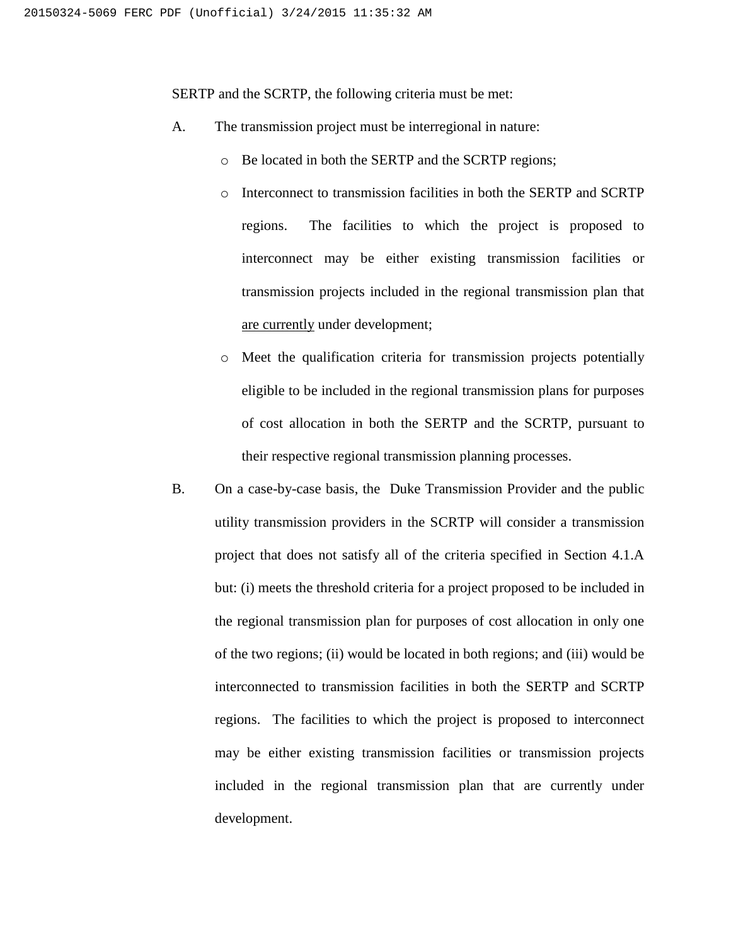SERTP and the SCRTP, the following criteria must be met:

- A. The transmission project must be interregional in nature:
	- o Be located in both the SERTP and the SCRTP regions;
	- o Interconnect to transmission facilities in both the SERTP and SCRTP regions. The facilities to which the project is proposed to interconnect may be either existing transmission facilities or transmission projects included in the regional transmission plan that are currently under development;
	- o Meet the qualification criteria for transmission projects potentially eligible to be included in the regional transmission plans for purposes of cost allocation in both the SERTP and the SCRTP, pursuant to their respective regional transmission planning processes.
- B. On a case-by-case basis, the Duke Transmission Provider and the public utility transmission providers in the SCRTP will consider a transmission project that does not satisfy all of the criteria specified in Section 4.1.A but: (i) meets the threshold criteria for a project proposed to be included in the regional transmission plan for purposes of cost allocation in only one of the two regions; (ii) would be located in both regions; and (iii) would be interconnected to transmission facilities in both the SERTP and SCRTP regions. The facilities to which the project is proposed to interconnect may be either existing transmission facilities or transmission projects included in the regional transmission plan that are currently under development.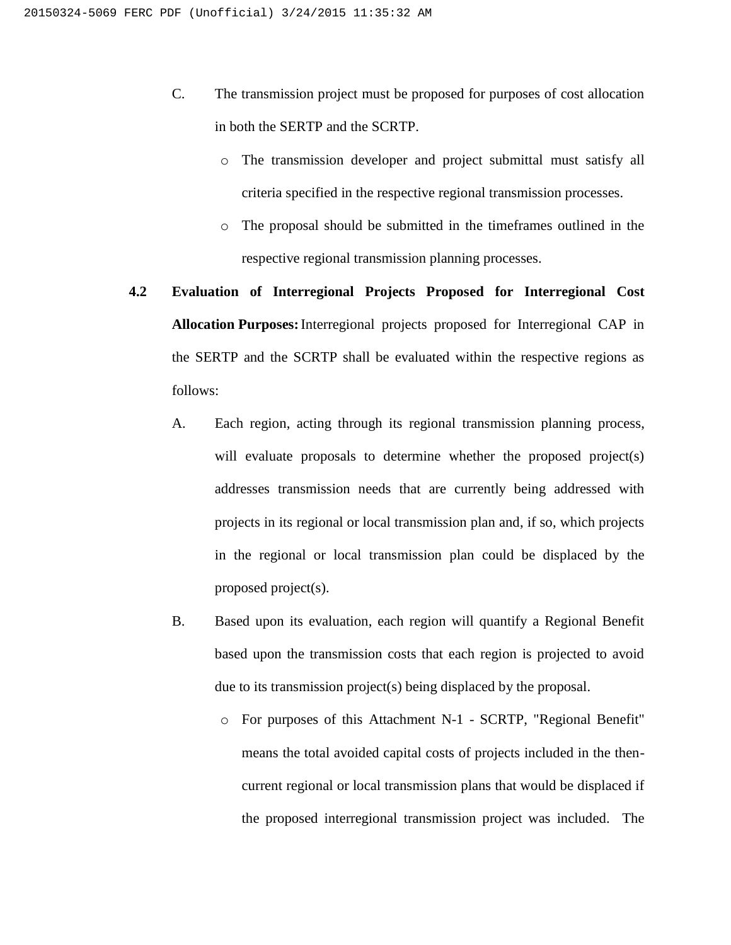- C. The transmission project must be proposed for purposes of cost allocation in both the SERTP and the SCRTP.
	- o The transmission developer and project submittal must satisfy all criteria specified in the respective regional transmission processes.
	- o The proposal should be submitted in the timeframes outlined in the respective regional transmission planning processes.
- **4.2 Evaluation of Interregional Projects Proposed for Interregional Cost Allocation Purposes:**Interregional projects proposed for Interregional CAP in the SERTP and the SCRTP shall be evaluated within the respective regions as follows:
	- A. Each region, acting through its regional transmission planning process, will evaluate proposals to determine whether the proposed project(s) addresses transmission needs that are currently being addressed with projects in its regional or local transmission plan and, if so, which projects in the regional or local transmission plan could be displaced by the proposed project(s).
	- B. Based upon its evaluation, each region will quantify a Regional Benefit based upon the transmission costs that each region is projected to avoid due to its transmission project(s) being displaced by the proposal.
		- o For purposes of this Attachment N-1 SCRTP, "Regional Benefit" means the total avoided capital costs of projects included in the thencurrent regional or local transmission plans that would be displaced if the proposed interregional transmission project was included. The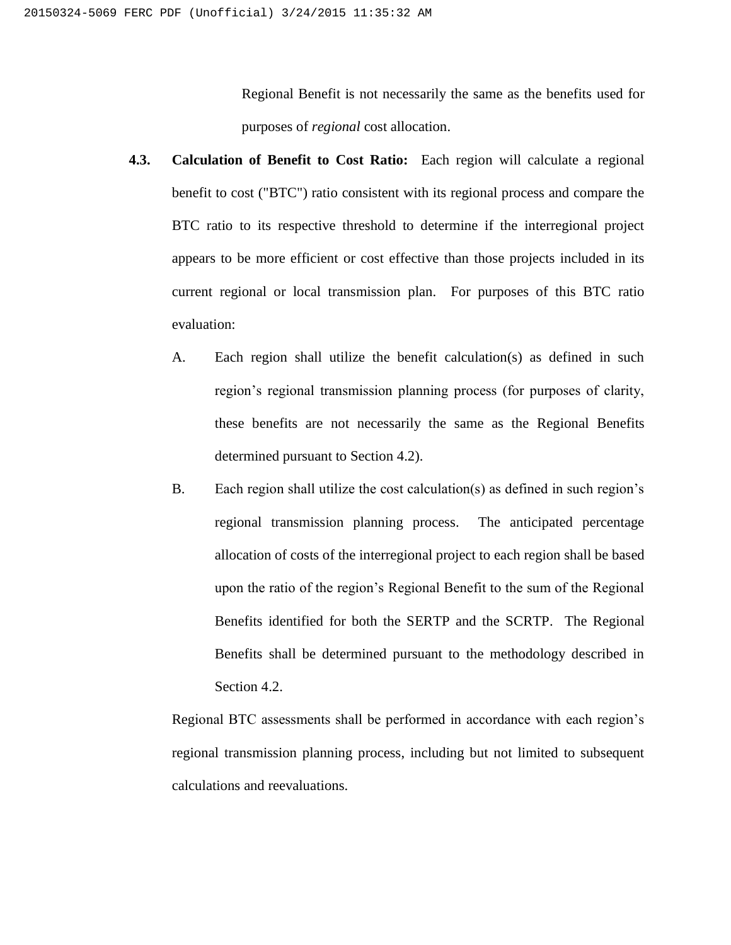Regional Benefit is not necessarily the same as the benefits used for purposes of *regional* cost allocation.

- **4.3. Calculation of Benefit to Cost Ratio:** Each region will calculate a regional benefit to cost ("BTC") ratio consistent with its regional process and compare the BTC ratio to its respective threshold to determine if the interregional project appears to be more efficient or cost effective than those projects included in its current regional or local transmission plan. For purposes of this BTC ratio evaluation:
	- A. Each region shall utilize the benefit calculation(s) as defined in such region's regional transmission planning process (for purposes of clarity, these benefits are not necessarily the same as the Regional Benefits determined pursuant to Section 4.2).
	- B. Each region shall utilize the cost calculation(s) as defined in such region's regional transmission planning process. The anticipated percentage allocation of costs of the interregional project to each region shall be based upon the ratio of the region's Regional Benefit to the sum of the Regional Benefits identified for both the SERTP and the SCRTP. The Regional Benefits shall be determined pursuant to the methodology described in Section 4.2.

Regional BTC assessments shall be performed in accordance with each region's regional transmission planning process, including but not limited to subsequent calculations and reevaluations.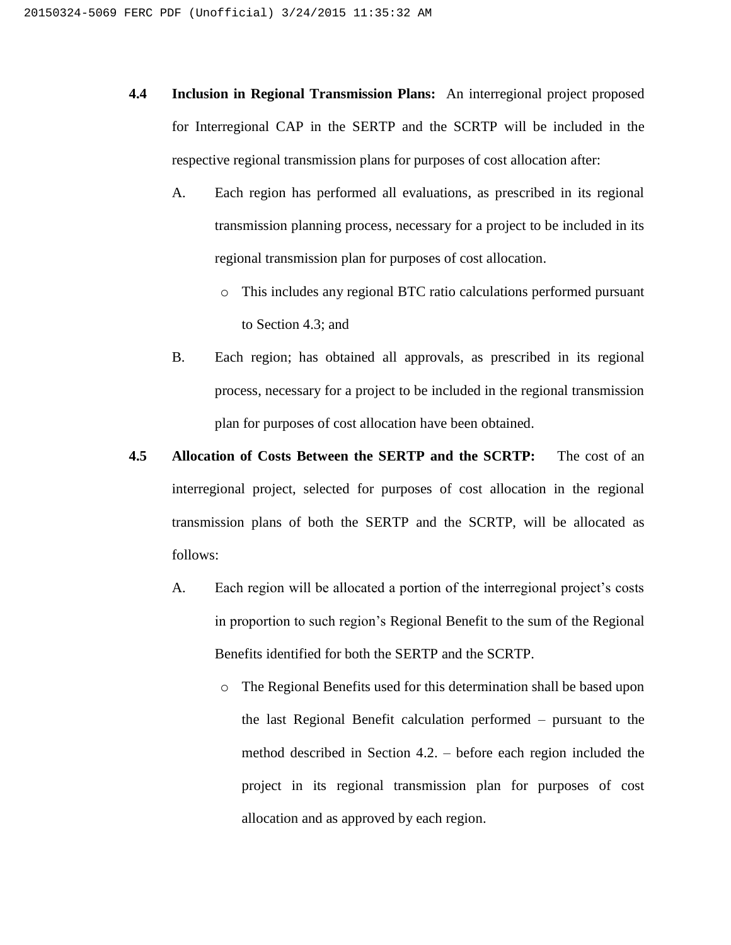- **4.4 Inclusion in Regional Transmission Plans:** An interregional project proposed for Interregional CAP in the SERTP and the SCRTP will be included in the respective regional transmission plans for purposes of cost allocation after:
	- A. Each region has performed all evaluations, as prescribed in its regional transmission planning process, necessary for a project to be included in its regional transmission plan for purposes of cost allocation.
		- o This includes any regional BTC ratio calculations performed pursuant to Section 4.3; and
	- B. Each region; has obtained all approvals, as prescribed in its regional process, necessary for a project to be included in the regional transmission plan for purposes of cost allocation have been obtained.
- **4.5 Allocation of Costs Between the SERTP and the SCRTP:** The cost of an interregional project, selected for purposes of cost allocation in the regional transmission plans of both the SERTP and the SCRTP, will be allocated as follows:
	- A. Each region will be allocated a portion of the interregional project's costs in proportion to such region's Regional Benefit to the sum of the Regional Benefits identified for both the SERTP and the SCRTP.
		- o The Regional Benefits used for this determination shall be based upon the last Regional Benefit calculation performed – pursuant to the method described in Section 4.2. – before each region included the project in its regional transmission plan for purposes of cost allocation and as approved by each region.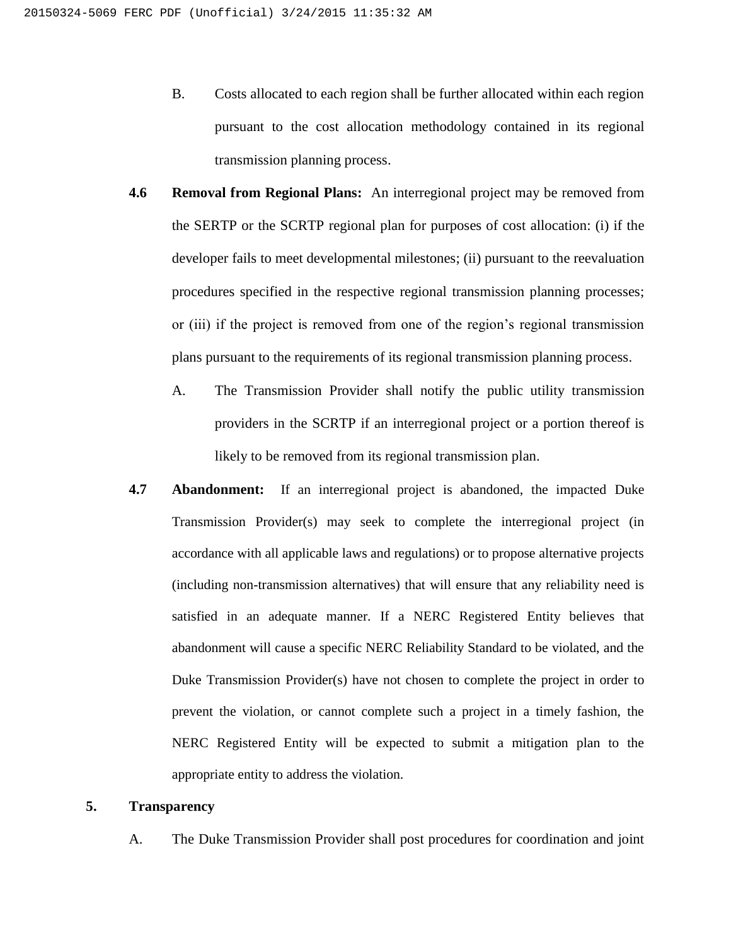- B. Costs allocated to each region shall be further allocated within each region pursuant to the cost allocation methodology contained in its regional transmission planning process.
- **4.6 Removal from Regional Plans:** An interregional project may be removed from the SERTP or the SCRTP regional plan for purposes of cost allocation: (i) if the developer fails to meet developmental milestones; (ii) pursuant to the reevaluation procedures specified in the respective regional transmission planning processes; or (iii) if the project is removed from one of the region's regional transmission plans pursuant to the requirements of its regional transmission planning process.
	- A. The Transmission Provider shall notify the public utility transmission providers in the SCRTP if an interregional project or a portion thereof is likely to be removed from its regional transmission plan.
- **4.7 Abandonment:** If an interregional project is abandoned, the impacted Duke Transmission Provider(s) may seek to complete the interregional project (in accordance with all applicable laws and regulations) or to propose alternative projects (including non-transmission alternatives) that will ensure that any reliability need is satisfied in an adequate manner. If a NERC Registered Entity believes that abandonment will cause a specific NERC Reliability Standard to be violated, and the Duke Transmission Provider(s) have not chosen to complete the project in order to prevent the violation, or cannot complete such a project in a timely fashion, the NERC Registered Entity will be expected to submit a mitigation plan to the appropriate entity to address the violation.

### **5. Transparency**

A. The Duke Transmission Provider shall post procedures for coordination and joint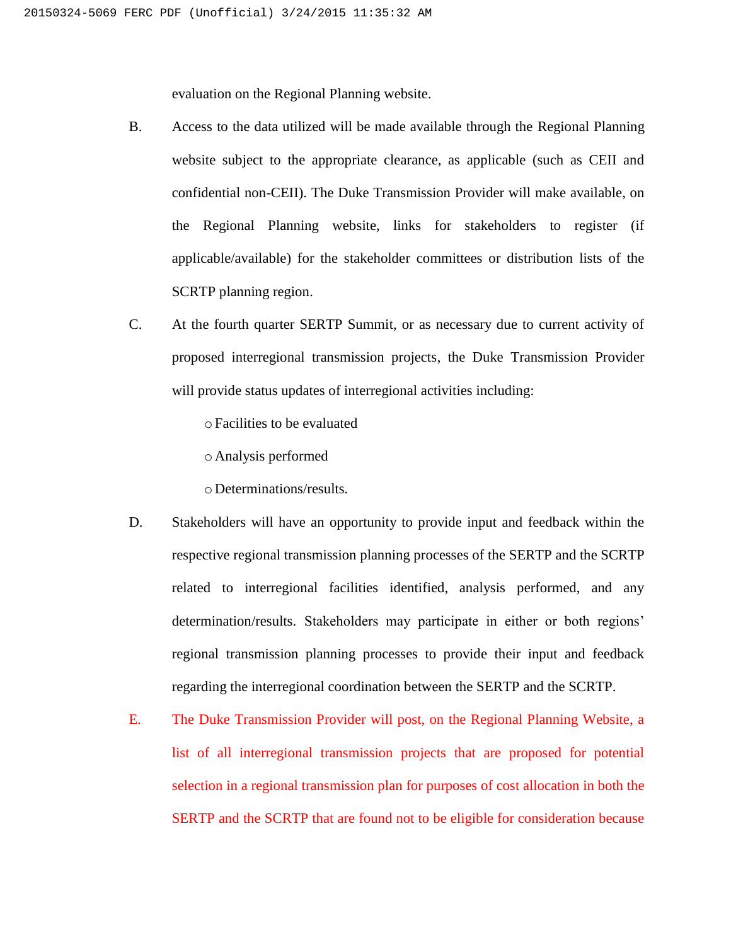evaluation on the Regional Planning website.

- B. Access to the data utilized will be made available through the Regional Planning website subject to the appropriate clearance, as applicable (such as CEII and confidential non-CEII). The Duke Transmission Provider will make available, on the Regional Planning website, links for stakeholders to register (if applicable/available) for the stakeholder committees or distribution lists of the SCRTP planning region.
- C. At the fourth quarter SERTP Summit, or as necessary due to current activity of proposed interregional transmission projects, the Duke Transmission Provider will provide status updates of interregional activities including:

oFacilities to be evaluated

o Analysis performed

o Determinations/results.

- D. Stakeholders will have an opportunity to provide input and feedback within the respective regional transmission planning processes of the SERTP and the SCRTP related to interregional facilities identified, analysis performed, and any determination/results. Stakeholders may participate in either or both regions' regional transmission planning processes to provide their input and feedback regarding the interregional coordination between the SERTP and the SCRTP.
- E. The Duke Transmission Provider will post, on the Regional Planning Website, a list of all interregional transmission projects that are proposed for potential selection in a regional transmission plan for purposes of cost allocation in both the SERTP and the SCRTP that are found not to be eligible for consideration because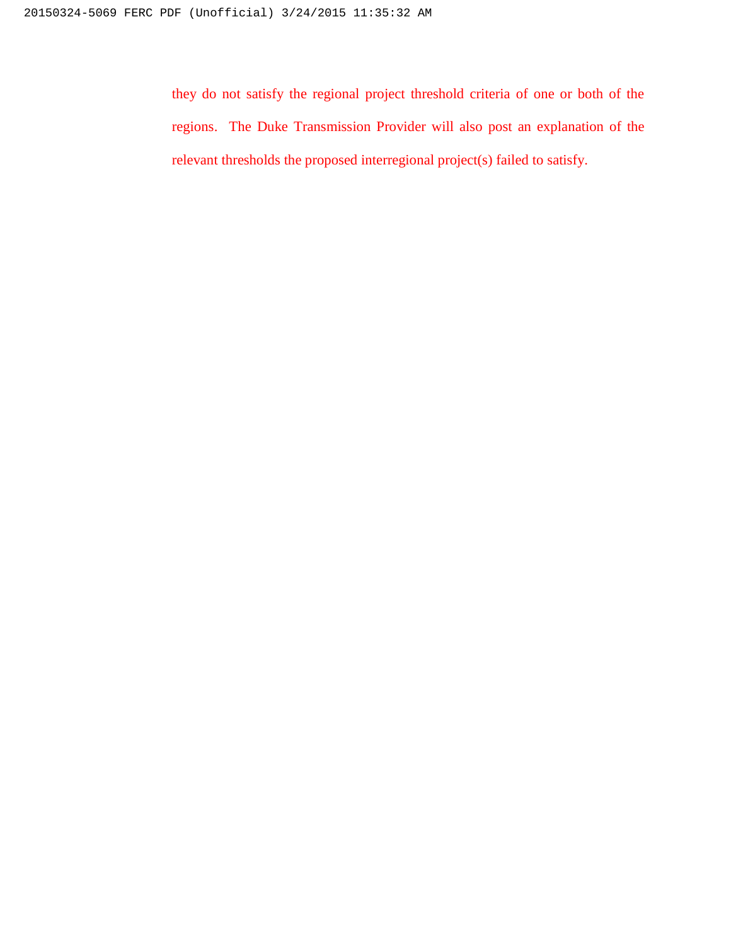they do not satisfy the regional project threshold criteria of one or both of the regions. The Duke Transmission Provider will also post an explanation of the relevant thresholds the proposed interregional project(s) failed to satisfy.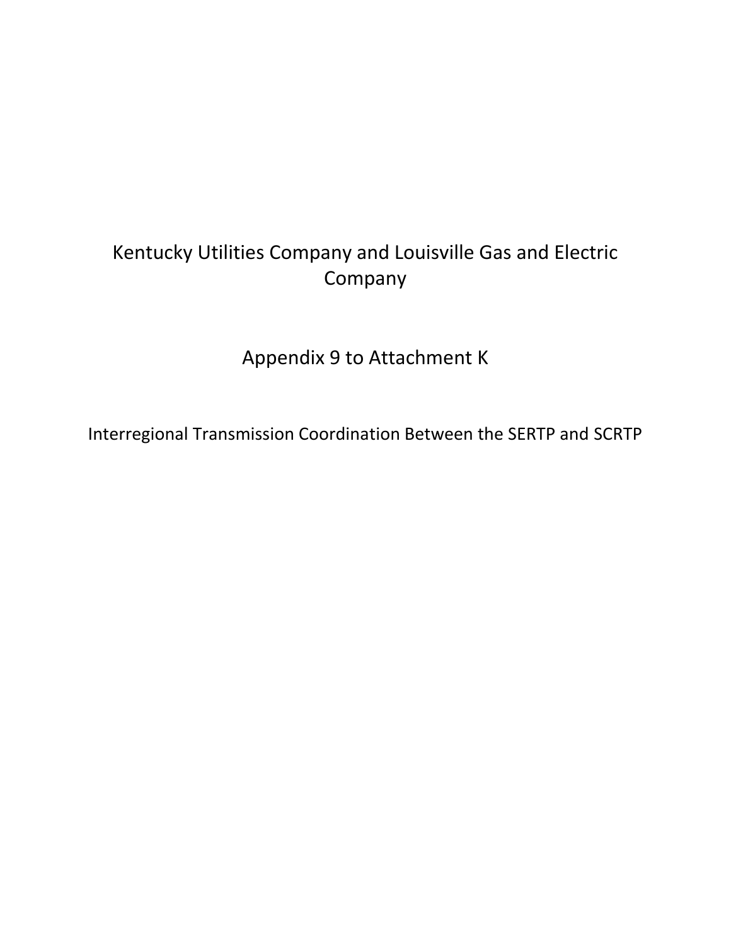# Kentucky Utilities Company and Louisville Gas and Electric Company

Appendix 9 to Attachment K

Interregional Transmission Coordination Between the SERTP and SCRTP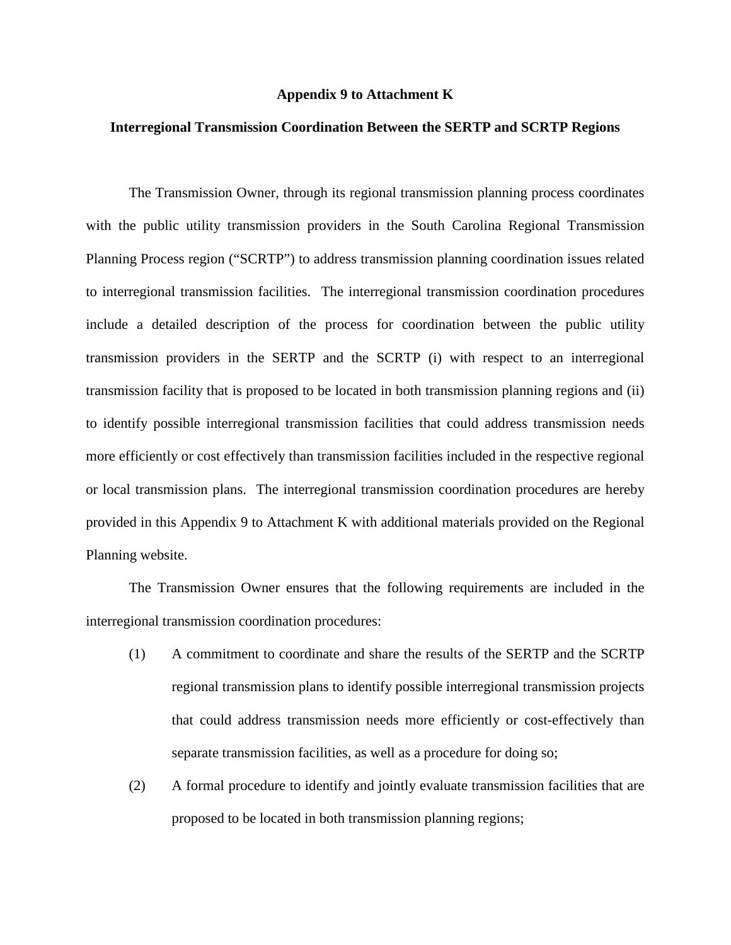#### **Appendix 9 to Attachment K**

#### **Interregional Transmission Coordination Between the SERTP and SCRTP Regions**

The Transmission Owner, through its regional transmission planning process coordinates with the public utility transmission providers in the South Carolina Regional Transmission Planning Process region ("SCRTP") to address transmission planning coordination issues related to interregional transmission facilities. The interregional transmission coordination procedures include a detailed description of the process for coordination between the public utility transmission providers in the SERTP and the SCRTP (i) with respect to an interregional transmission facility that is proposed to be located in both transmission planning regions and (ii) to identify possible interregional transmission facilities that could address transmission needs more efficiently or cost effectively than transmission facilities included in the respective regional or local transmission plans. The interregional transmission coordination procedures are hereby provided in this Appendix 9 to Attachment K with additional materials provided on the Regional Planning website.

The Transmission Owner ensures that the following requirements are included in the interregional transmission coordination procedures:

- (1) A commitment to coordinate and share the results of the SERTP and the SCRTP regional transmission plans to identify possible interregional transmission projects that could address transmission needs more efficiently or cost-effectively than separate transmission facilities, as well as a procedure for doing so;
- (2) A formal procedure to identify and jointly evaluate transmission facilities that are proposed to be located in both transmission planning regions;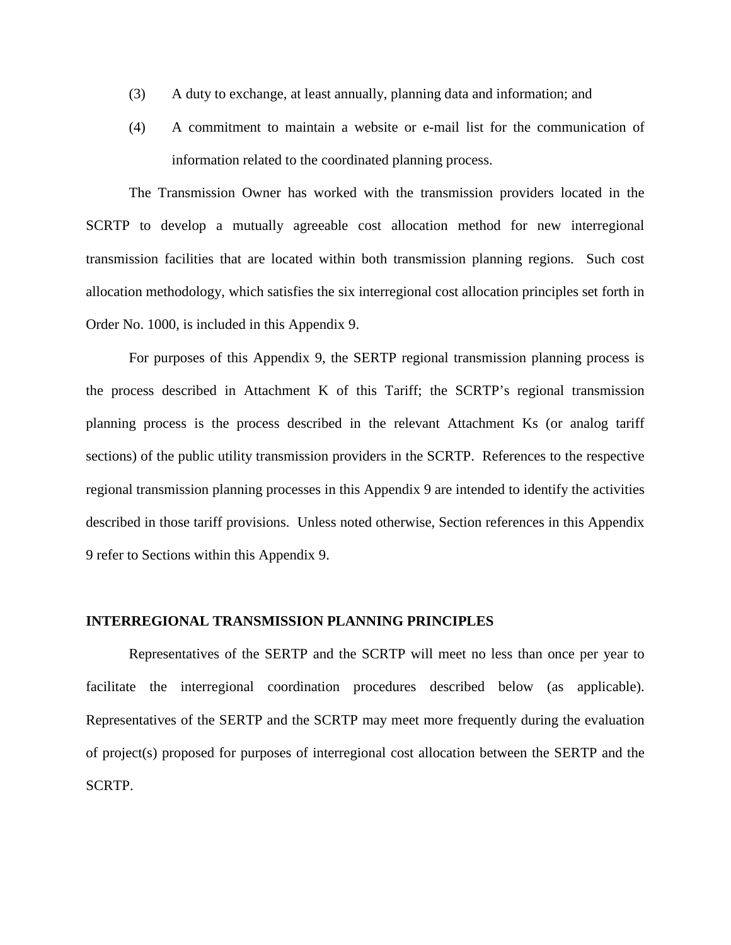- (3) A duty to exchange, at least annually, planning data and information; and
- (4) A commitment to maintain a website or e-mail list for the communication of information related to the coordinated planning process.

The Transmission Owner has worked with the transmission providers located in the SCRTP to develop a mutually agreeable cost allocation method for new interregional transmission facilities that are located within both transmission planning regions. Such cost allocation methodology, which satisfies the six interregional cost allocation principles set forth in Order No. 1000, is included in this Appendix 9.

For purposes of this Appendix 9, the SERTP regional transmission planning process is the process described in Attachment K of this Tariff; the SCRTP's regional transmission planning process is the process described in the relevant Attachment Ks (or analog tariff sections) of the public utility transmission providers in the SCRTP. References to the respective regional transmission planning processes in this Appendix 9 are intended to identify the activities described in those tariff provisions. Unless noted otherwise, Section references in this Appendix 9 refer to Sections within this Appendix 9.

#### **INTERREGIONAL TRANSMISSION PLANNING PRINCIPLES**

Representatives of the SERTP and the SCRTP will meet no less than once per year to facilitate the interregional coordination procedures described below (as applicable). Representatives of the SERTP and the SCRTP may meet more frequently during the evaluation of project(s) proposed for purposes of interregional cost allocation between the SERTP and the SCRTP.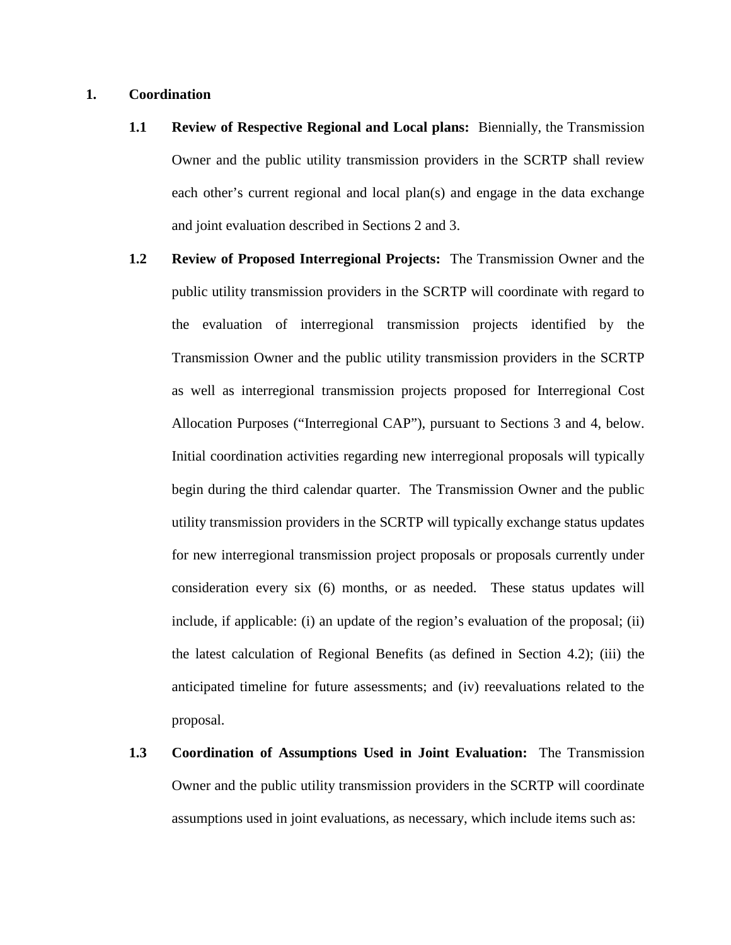#### **1. Coordination**

- **1.1 Review of Respective Regional and Local plans:** Biennially, the Transmission Owner and the public utility transmission providers in the SCRTP shall review each other's current regional and local plan(s) and engage in the data exchange and joint evaluation described in Sections 2 and 3.
- **1.2 Review of Proposed Interregional Projects:** The Transmission Owner and the public utility transmission providers in the SCRTP will coordinate with regard to the evaluation of interregional transmission projects identified by the Transmission Owner and the public utility transmission providers in the SCRTP as well as interregional transmission projects proposed for Interregional Cost Allocation Purposes ("Interregional CAP"), pursuant to Sections 3 and 4, below. Initial coordination activities regarding new interregional proposals will typically begin during the third calendar quarter. The Transmission Owner and the public utility transmission providers in the SCRTP will typically exchange status updates for new interregional transmission project proposals or proposals currently under consideration every six (6) months, or as needed. These status updates will include, if applicable: (i) an update of the region's evaluation of the proposal; (ii) the latest calculation of Regional Benefits (as defined in Section 4.2); (iii) the anticipated timeline for future assessments; and (iv) reevaluations related to the proposal.
- **1.3 Coordination of Assumptions Used in Joint Evaluation:** The Transmission Owner and the public utility transmission providers in the SCRTP will coordinate assumptions used in joint evaluations, as necessary, which include items such as: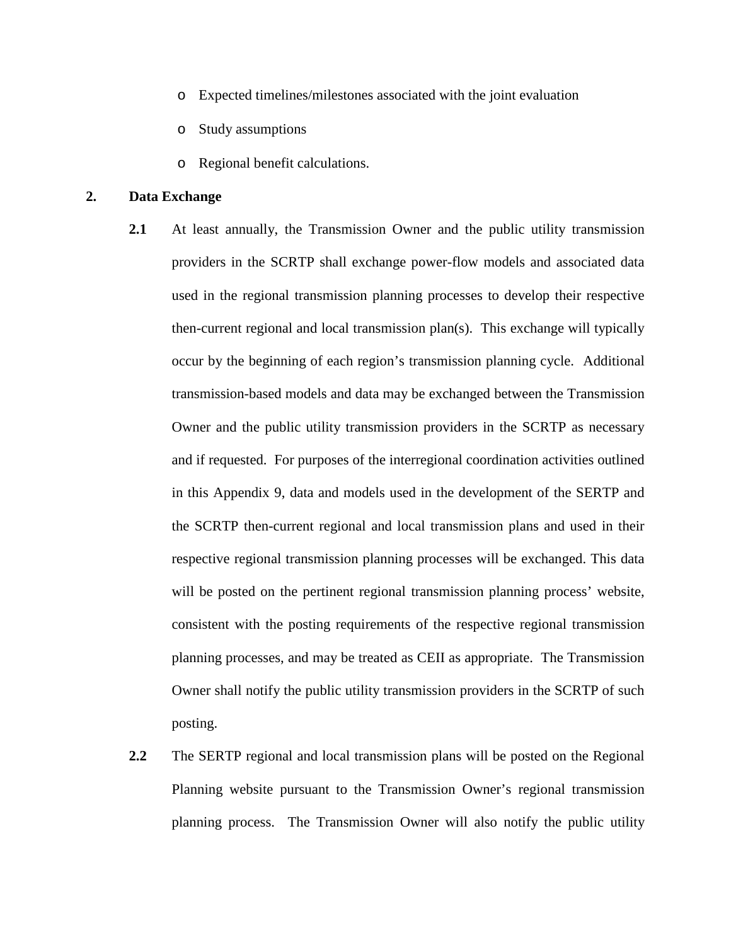- o Expected timelines/milestones associated with the joint evaluation
- o Study assumptions
- o Regional benefit calculations.

## **2. Data Exchange**

- **2.1** At least annually, the Transmission Owner and the public utility transmission providers in the SCRTP shall exchange power-flow models and associated data used in the regional transmission planning processes to develop their respective then-current regional and local transmission plan(s). This exchange will typically occur by the beginning of each region's transmission planning cycle. Additional transmission-based models and data may be exchanged between the Transmission Owner and the public utility transmission providers in the SCRTP as necessary and if requested. For purposes of the interregional coordination activities outlined in this Appendix 9, data and models used in the development of the SERTP and the SCRTP then-current regional and local transmission plans and used in their respective regional transmission planning processes will be exchanged. This data will be posted on the pertinent regional transmission planning process' website, consistent with the posting requirements of the respective regional transmission planning processes, and may be treated as CEII as appropriate. The Transmission Owner shall notify the public utility transmission providers in the SCRTP of such posting.
- **2.2** The SERTP regional and local transmission plans will be posted on the Regional Planning website pursuant to the Transmission Owner's regional transmission planning process. The Transmission Owner will also notify the public utility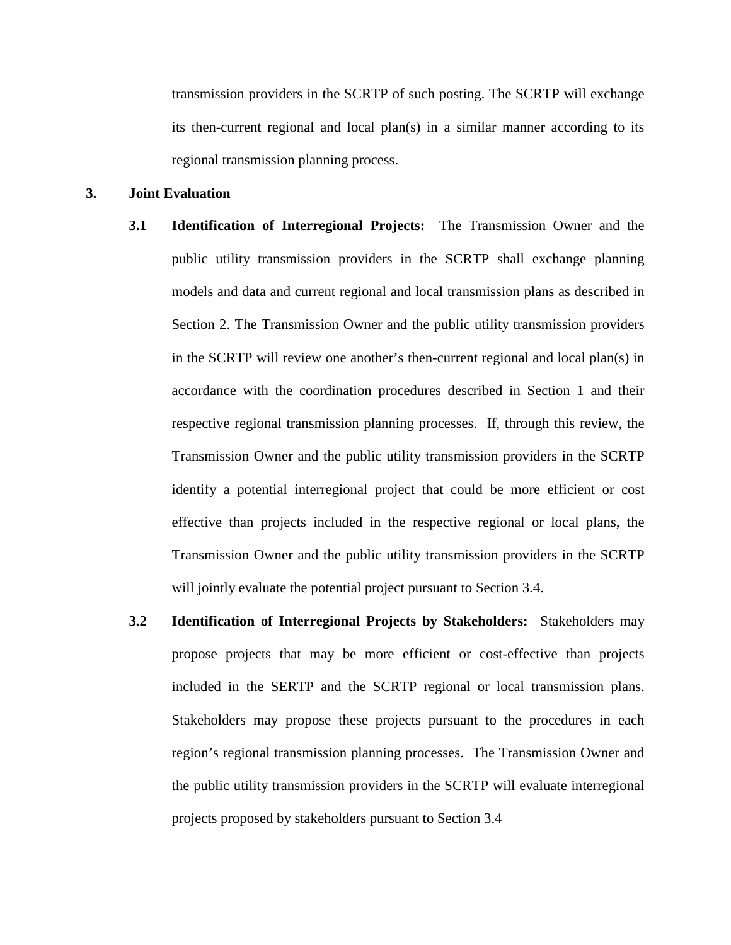transmission providers in the SCRTP of such posting. The SCRTP will exchange its then-current regional and local plan(s) in a similar manner according to its regional transmission planning process.

## **3. Joint Evaluation**

- **3.1 Identification of Interregional Projects:** The Transmission Owner and the public utility transmission providers in the SCRTP shall exchange planning models and data and current regional and local transmission plans as described in Section 2. The Transmission Owner and the public utility transmission providers in the SCRTP will review one another's then-current regional and local plan(s) in accordance with the coordination procedures described in Section 1 and their respective regional transmission planning processes. If, through this review, the Transmission Owner and the public utility transmission providers in the SCRTP identify a potential interregional project that could be more efficient or cost effective than projects included in the respective regional or local plans, the Transmission Owner and the public utility transmission providers in the SCRTP will jointly evaluate the potential project pursuant to Section 3.4.
- **3.2 Identification of Interregional Projects by Stakeholders:** Stakeholders may propose projects that may be more efficient or cost-effective than projects included in the SERTP and the SCRTP regional or local transmission plans. Stakeholders may propose these projects pursuant to the procedures in each region's regional transmission planning processes. The Transmission Owner and the public utility transmission providers in the SCRTP will evaluate interregional projects proposed by stakeholders pursuant to Section 3.4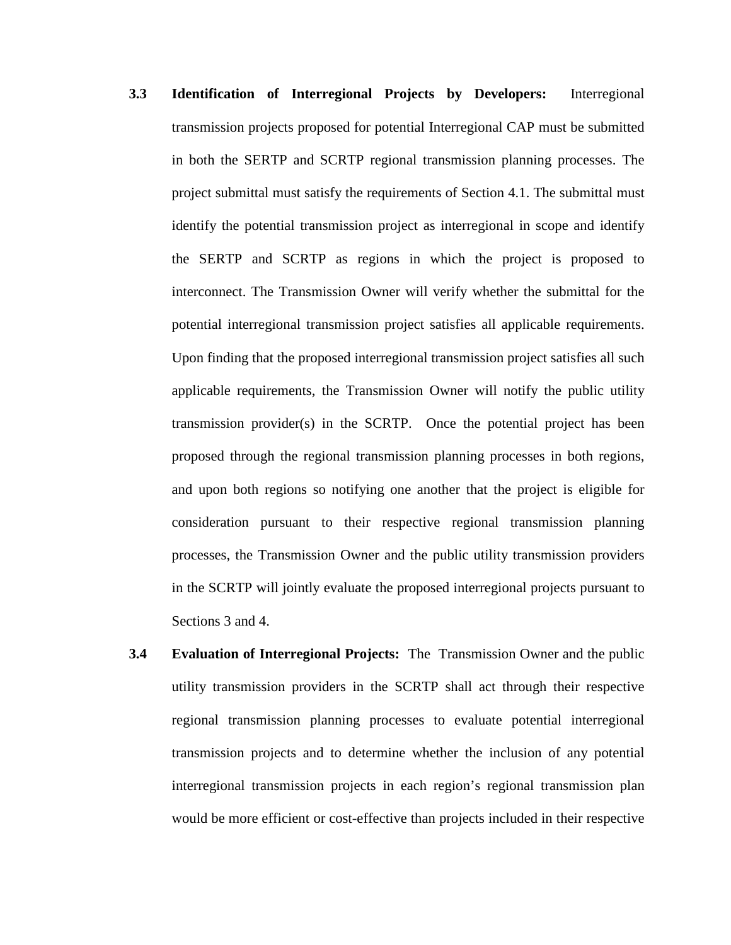- **3.3 Identification of Interregional Projects by Developers:** Interregional transmission projects proposed for potential Interregional CAP must be submitted in both the SERTP and SCRTP regional transmission planning processes. The project submittal must satisfy the requirements of Section 4.1. The submittal must identify the potential transmission project as interregional in scope and identify the SERTP and SCRTP as regions in which the project is proposed to interconnect. The Transmission Owner will verify whether the submittal for the potential interregional transmission project satisfies all applicable requirements. Upon finding that the proposed interregional transmission project satisfies all such applicable requirements, the Transmission Owner will notify the public utility transmission provider(s) in the SCRTP. Once the potential project has been proposed through the regional transmission planning processes in both regions, and upon both regions so notifying one another that the project is eligible for consideration pursuant to their respective regional transmission planning processes, the Transmission Owner and the public utility transmission providers in the SCRTP will jointly evaluate the proposed interregional projects pursuant to Sections 3 and 4.
- **3.4 Evaluation of Interregional Projects:** The Transmission Owner and the public utility transmission providers in the SCRTP shall act through their respective regional transmission planning processes to evaluate potential interregional transmission projects and to determine whether the inclusion of any potential interregional transmission projects in each region's regional transmission plan would be more efficient or cost-effective than projects included in their respective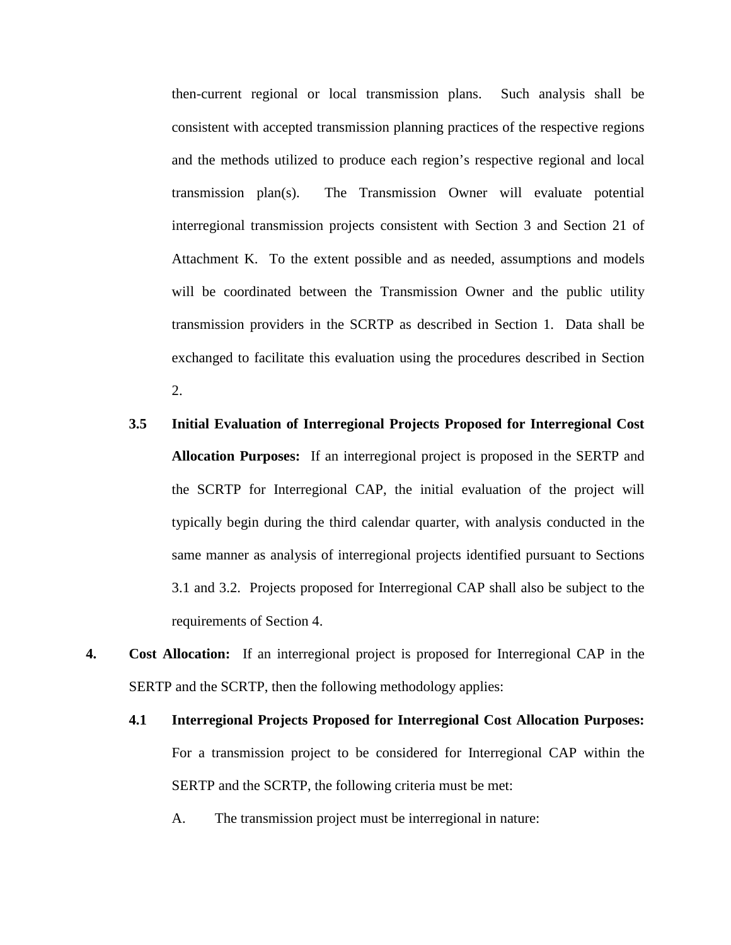then-current regional or local transmission plans. Such analysis shall be consistent with accepted transmission planning practices of the respective regions and the methods utilized to produce each region's respective regional and local transmission plan(s). The Transmission Owner will evaluate potential interregional transmission projects consistent with Section 3 and Section 21 of Attachment K. To the extent possible and as needed, assumptions and models will be coordinated between the Transmission Owner and the public utility transmission providers in the SCRTP as described in Section 1. Data shall be exchanged to facilitate this evaluation using the procedures described in Section 2.

- **3.5 Initial Evaluation of Interregional Projects Proposed for Interregional Cost Allocation Purposes:** If an interregional project is proposed in the SERTP and the SCRTP for Interregional CAP, the initial evaluation of the project will typically begin during the third calendar quarter, with analysis conducted in the same manner as analysis of interregional projects identified pursuant to Sections 3.1 and 3.2. Projects proposed for Interregional CAP shall also be subject to the requirements of Section 4.
- **4. Cost Allocation:** If an interregional project is proposed for Interregional CAP in the SERTP and the SCRTP, then the following methodology applies:
	- **4.1 Interregional Projects Proposed for Interregional Cost Allocation Purposes:** For a transmission project to be considered for Interregional CAP within the SERTP and the SCRTP, the following criteria must be met:

A. The transmission project must be interregional in nature: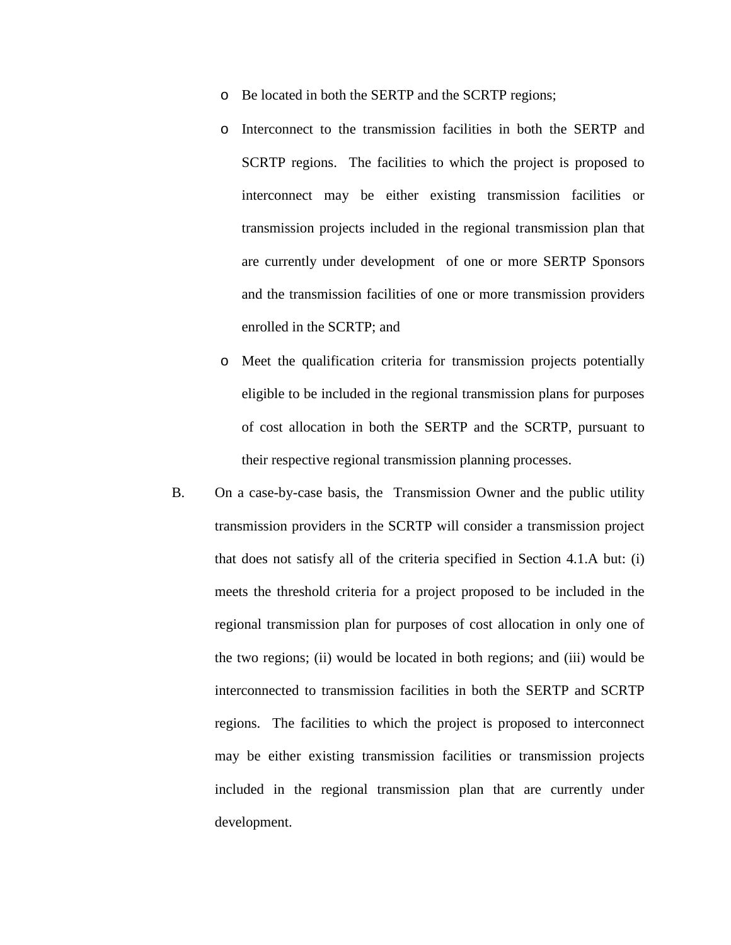- o Be located in both the SERTP and the SCRTP regions;
- o Interconnect to the transmission facilities in both the SERTP and SCRTP regions. The facilities to which the project is proposed to interconnect may be either existing transmission facilities or transmission projects included in the regional transmission plan that are currently under development of one or more SERTP Sponsors and the transmission facilities of one or more transmission providers enrolled in the SCRTP; and
- o Meet the qualification criteria for transmission projects potentially eligible to be included in the regional transmission plans for purposes of cost allocation in both the SERTP and the SCRTP, pursuant to their respective regional transmission planning processes.
- B. On a case-by-case basis, the Transmission Owner and the public utility transmission providers in the SCRTP will consider a transmission project that does not satisfy all of the criteria specified in Section 4.1.A but: (i) meets the threshold criteria for a project proposed to be included in the regional transmission plan for purposes of cost allocation in only one of the two regions; (ii) would be located in both regions; and (iii) would be interconnected to transmission facilities in both the SERTP and SCRTP regions. The facilities to which the project is proposed to interconnect may be either existing transmission facilities or transmission projects included in the regional transmission plan that are currently under development.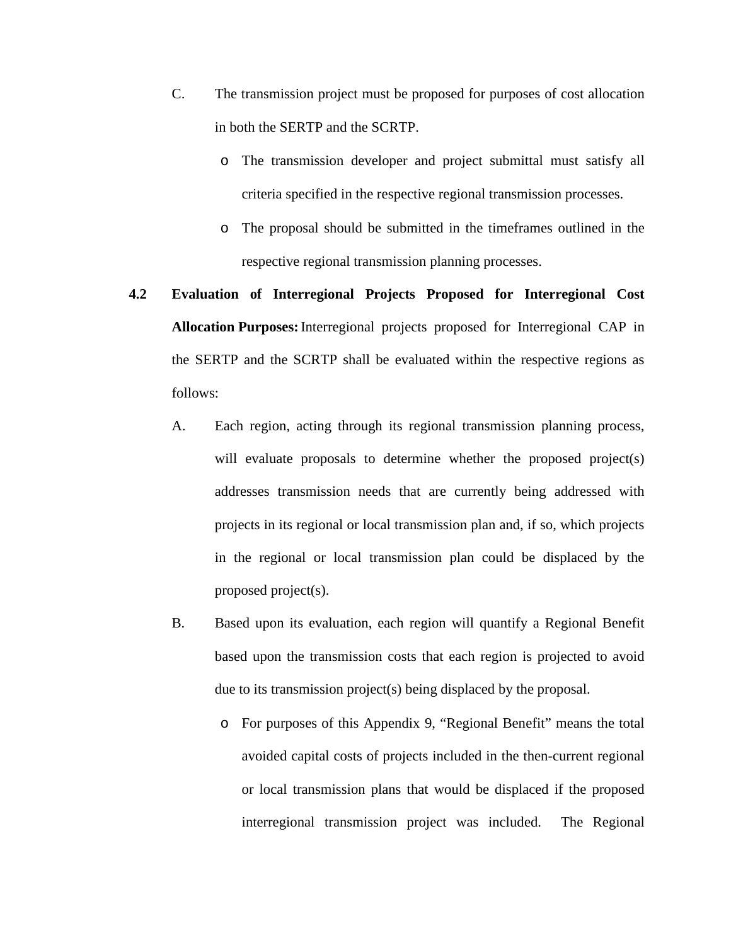- C. The transmission project must be proposed for purposes of cost allocation in both the SERTP and the SCRTP.
	- o The transmission developer and project submittal must satisfy all criteria specified in the respective regional transmission processes.
	- o The proposal should be submitted in the timeframes outlined in the respective regional transmission planning processes.
- **4.2 Evaluation of Interregional Projects Proposed for Interregional Cost Allocation Purposes:**Interregional projects proposed for Interregional CAP in the SERTP and the SCRTP shall be evaluated within the respective regions as follows:
	- A. Each region, acting through its regional transmission planning process, will evaluate proposals to determine whether the proposed project(s) addresses transmission needs that are currently being addressed with projects in its regional or local transmission plan and, if so, which projects in the regional or local transmission plan could be displaced by the proposed project(s).
	- B. Based upon its evaluation, each region will quantify a Regional Benefit based upon the transmission costs that each region is projected to avoid due to its transmission project(s) being displaced by the proposal.
		- o For purposes of this Appendix 9, "Regional Benefit" means the total avoided capital costs of projects included in the then-current regional or local transmission plans that would be displaced if the proposed interregional transmission project was included. The Regional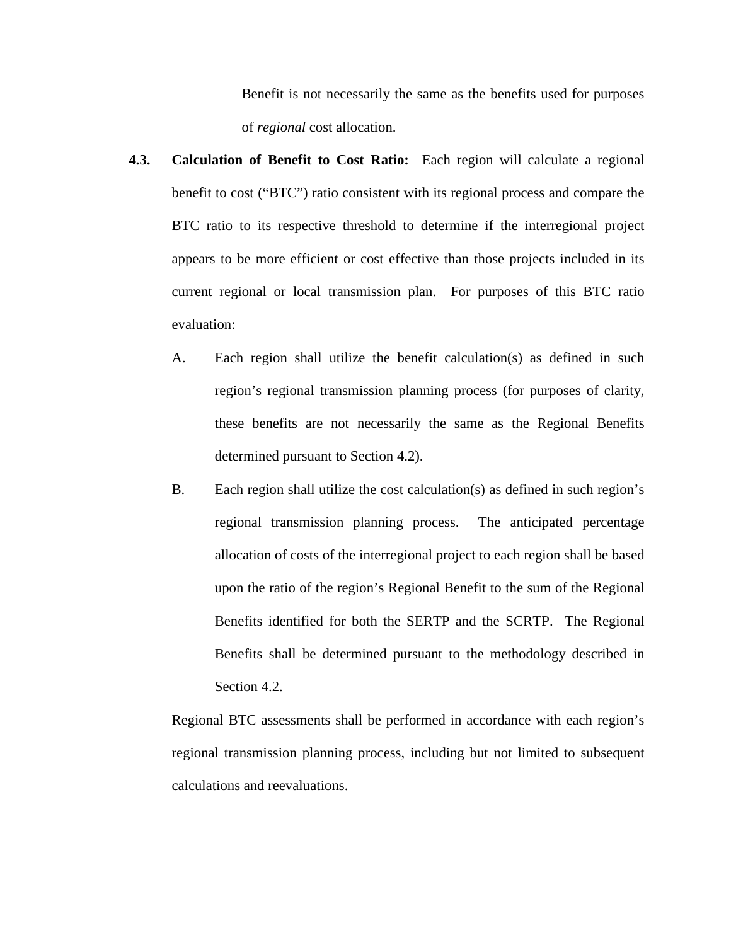Benefit is not necessarily the same as the benefits used for purposes of *regional* cost allocation.

- **4.3. Calculation of Benefit to Cost Ratio:** Each region will calculate a regional benefit to cost ("BTC") ratio consistent with its regional process and compare the BTC ratio to its respective threshold to determine if the interregional project appears to be more efficient or cost effective than those projects included in its current regional or local transmission plan. For purposes of this BTC ratio evaluation:
	- A. Each region shall utilize the benefit calculation(s) as defined in such region's regional transmission planning process (for purposes of clarity, these benefits are not necessarily the same as the Regional Benefits determined pursuant to Section 4.2).
	- B. Each region shall utilize the cost calculation(s) as defined in such region's regional transmission planning process. The anticipated percentage allocation of costs of the interregional project to each region shall be based upon the ratio of the region's Regional Benefit to the sum of the Regional Benefits identified for both the SERTP and the SCRTP. The Regional Benefits shall be determined pursuant to the methodology described in Section 4.2.

Regional BTC assessments shall be performed in accordance with each region's regional transmission planning process, including but not limited to subsequent calculations and reevaluations.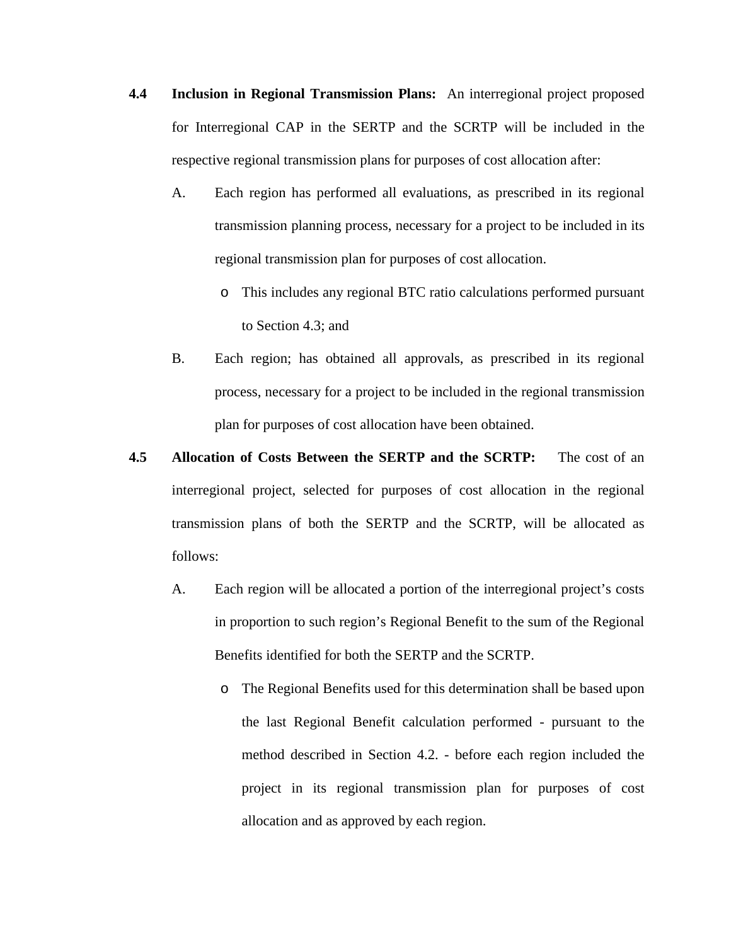- **4.4 Inclusion in Regional Transmission Plans:** An interregional project proposed for Interregional CAP in the SERTP and the SCRTP will be included in the respective regional transmission plans for purposes of cost allocation after:
	- A. Each region has performed all evaluations, as prescribed in its regional transmission planning process, necessary for a project to be included in its regional transmission plan for purposes of cost allocation.
		- o This includes any regional BTC ratio calculations performed pursuant to Section 4.3; and
	- B. Each region; has obtained all approvals, as prescribed in its regional process, necessary for a project to be included in the regional transmission plan for purposes of cost allocation have been obtained.
- **4.5 Allocation of Costs Between the SERTP and the SCRTP:** The cost of an interregional project, selected for purposes of cost allocation in the regional transmission plans of both the SERTP and the SCRTP, will be allocated as follows:
	- A. Each region will be allocated a portion of the interregional project's costs in proportion to such region's Regional Benefit to the sum of the Regional Benefits identified for both the SERTP and the SCRTP.
		- o The Regional Benefits used for this determination shall be based upon the last Regional Benefit calculation performed - pursuant to the method described in Section 4.2. - before each region included the project in its regional transmission plan for purposes of cost allocation and as approved by each region.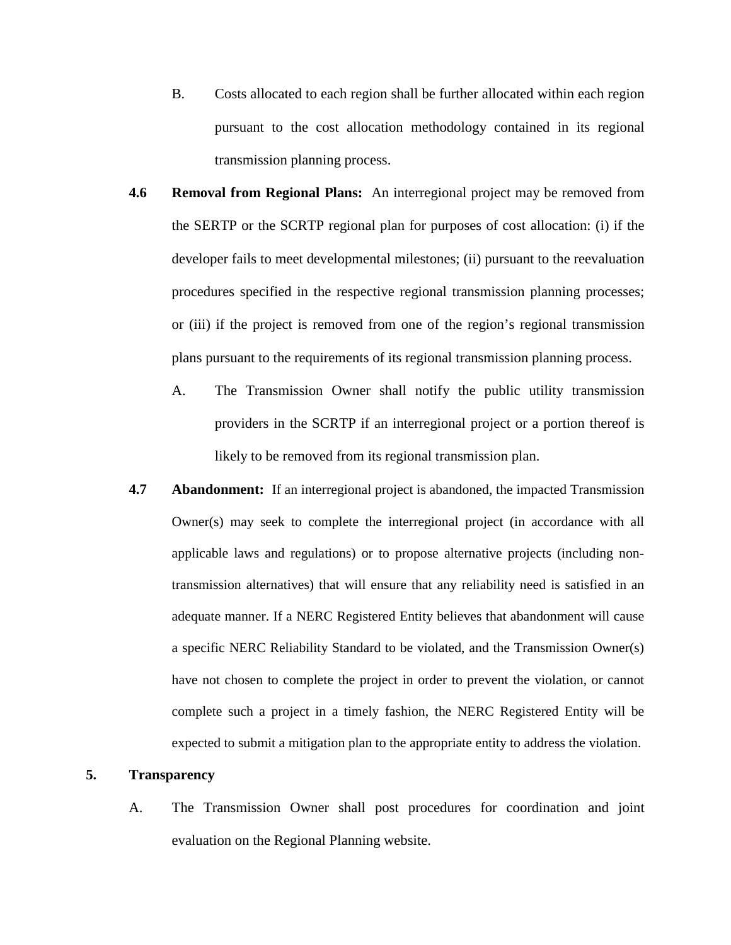- B. Costs allocated to each region shall be further allocated within each region pursuant to the cost allocation methodology contained in its regional transmission planning process.
- **4.6 Removal from Regional Plans:** An interregional project may be removed from the SERTP or the SCRTP regional plan for purposes of cost allocation: (i) if the developer fails to meet developmental milestones; (ii) pursuant to the reevaluation procedures specified in the respective regional transmission planning processes; or (iii) if the project is removed from one of the region's regional transmission plans pursuant to the requirements of its regional transmission planning process.
	- A. The Transmission Owner shall notify the public utility transmission providers in the SCRTP if an interregional project or a portion thereof is likely to be removed from its regional transmission plan.
- **4.7 Abandonment:** If an interregional project is abandoned, the impacted Transmission Owner(s) may seek to complete the interregional project (in accordance with all applicable laws and regulations) or to propose alternative projects (including nontransmission alternatives) that will ensure that any reliability need is satisfied in an adequate manner. If a NERC Registered Entity believes that abandonment will cause a specific NERC Reliability Standard to be violated, and the Transmission Owner(s) have not chosen to complete the project in order to prevent the violation, or cannot complete such a project in a timely fashion, the NERC Registered Entity will be expected to submit a mitigation plan to the appropriate entity to address the violation.

## **5. Transparency**

A. The Transmission Owner shall post procedures for coordination and joint evaluation on the Regional Planning website.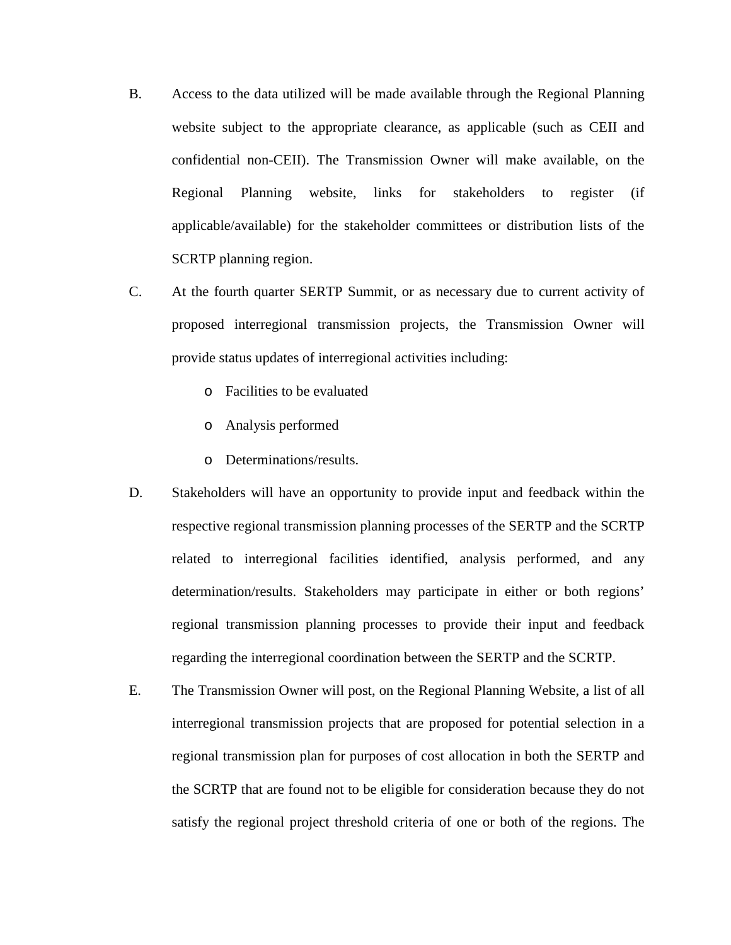- B. Access to the data utilized will be made available through the Regional Planning website subject to the appropriate clearance, as applicable (such as CEII and confidential non-CEII). The Transmission Owner will make available, on the Regional Planning website, links for stakeholders to register (if applicable/available) for the stakeholder committees or distribution lists of the SCRTP planning region.
- C. At the fourth quarter SERTP Summit, or as necessary due to current activity of proposed interregional transmission projects, the Transmission Owner will provide status updates of interregional activities including:
	- o Facilities to be evaluated
	- o Analysis performed
	- o Determinations/results.
- D. Stakeholders will have an opportunity to provide input and feedback within the respective regional transmission planning processes of the SERTP and the SCRTP related to interregional facilities identified, analysis performed, and any determination/results. Stakeholders may participate in either or both regions' regional transmission planning processes to provide their input and feedback regarding the interregional coordination between the SERTP and the SCRTP.
- E. The Transmission Owner will post, on the Regional Planning Website, a list of all interregional transmission projects that are proposed for potential selection in a regional transmission plan for purposes of cost allocation in both the SERTP and the SCRTP that are found not to be eligible for consideration because they do not satisfy the regional project threshold criteria of one or both of the regions. The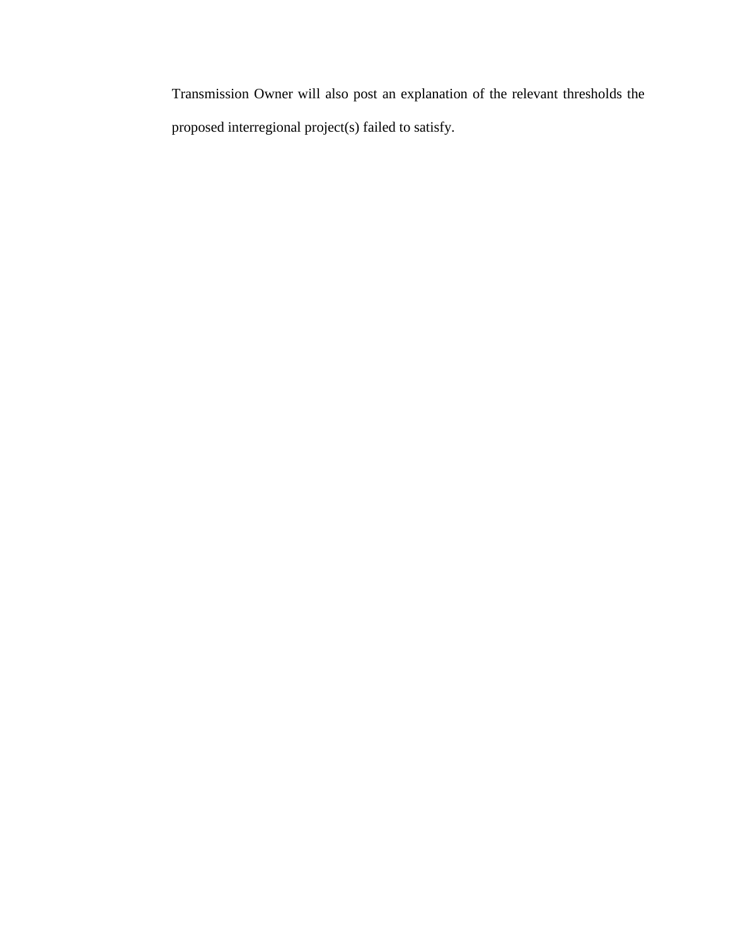Transmission Owner will also post an explanation of the relevant thresholds the proposed interregional project(s) failed to satisfy.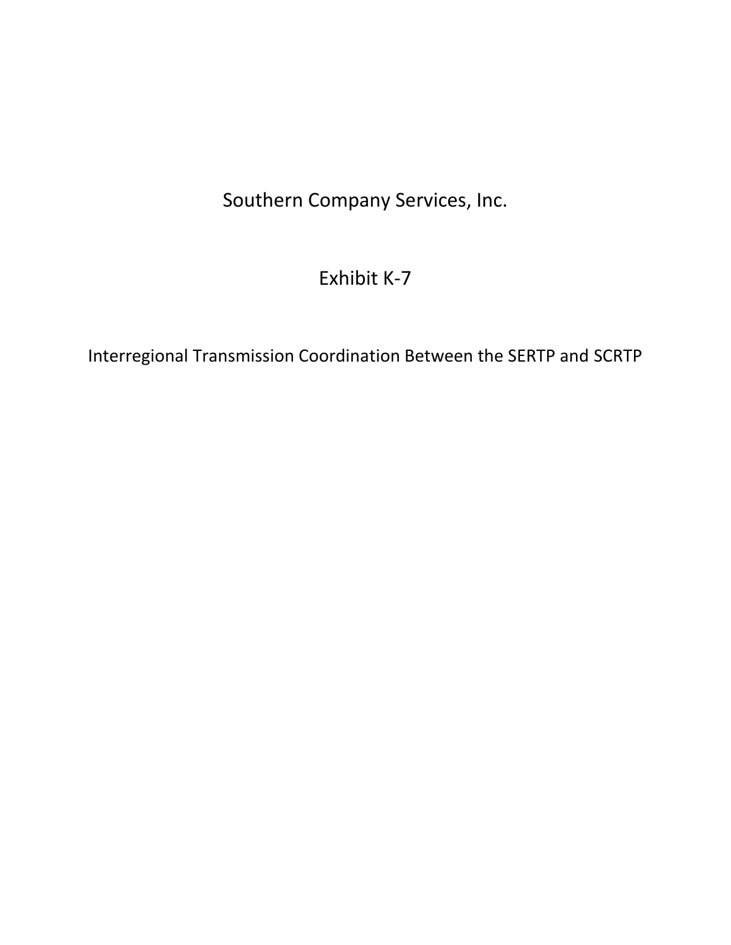Southern Company Services, Inc.

# Exhibit K-7

Interregional Transmission Coordination Between the SERTP and SCRTP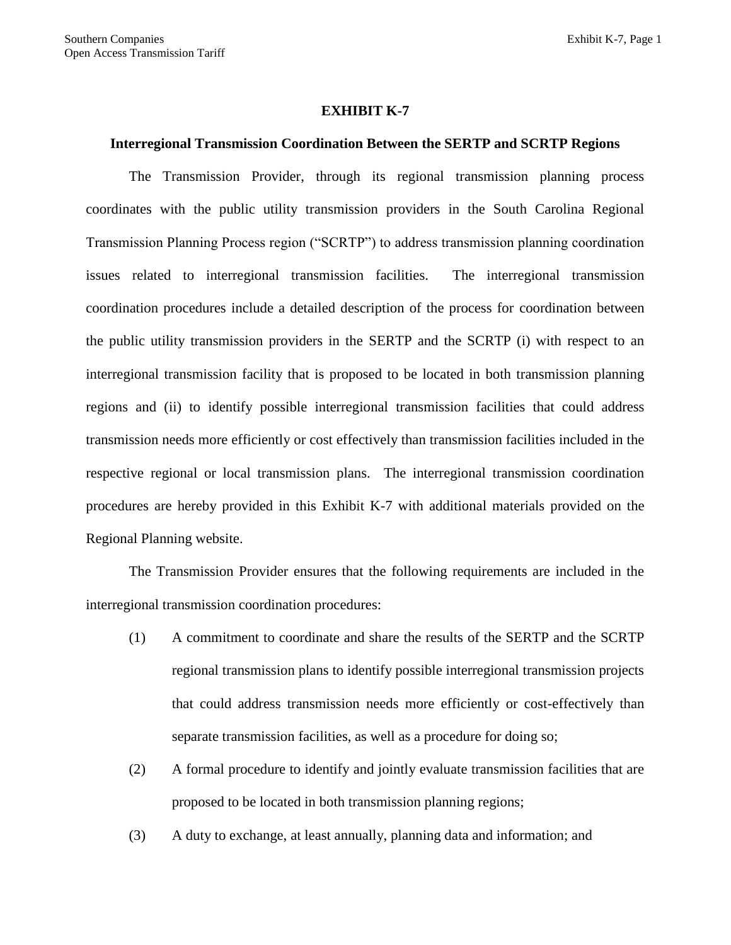#### **EXHIBIT K-7**

#### **Interregional Transmission Coordination Between the SERTP and SCRTP Regions**

The Transmission Provider, through its regional transmission planning process coordinates with the public utility transmission providers in the South Carolina Regional Transmission Planning Process region ("SCRTP") to address transmission planning coordination issues related to interregional transmission facilities. The interregional transmission coordination procedures include a detailed description of the process for coordination between the public utility transmission providers in the SERTP and the SCRTP (i) with respect to an interregional transmission facility that is proposed to be located in both transmission planning regions and (ii) to identify possible interregional transmission facilities that could address transmission needs more efficiently or cost effectively than transmission facilities included in the respective regional or local transmission plans. The interregional transmission coordination procedures are hereby provided in this Exhibit K-7 with additional materials provided on the Regional Planning website.

The Transmission Provider ensures that the following requirements are included in the interregional transmission coordination procedures:

- (1) A commitment to coordinate and share the results of the SERTP and the SCRTP regional transmission plans to identify possible interregional transmission projects that could address transmission needs more efficiently or cost-effectively than separate transmission facilities, as well as a procedure for doing so;
- (2) A formal procedure to identify and jointly evaluate transmission facilities that are proposed to be located in both transmission planning regions;
- (3) A duty to exchange, at least annually, planning data and information; and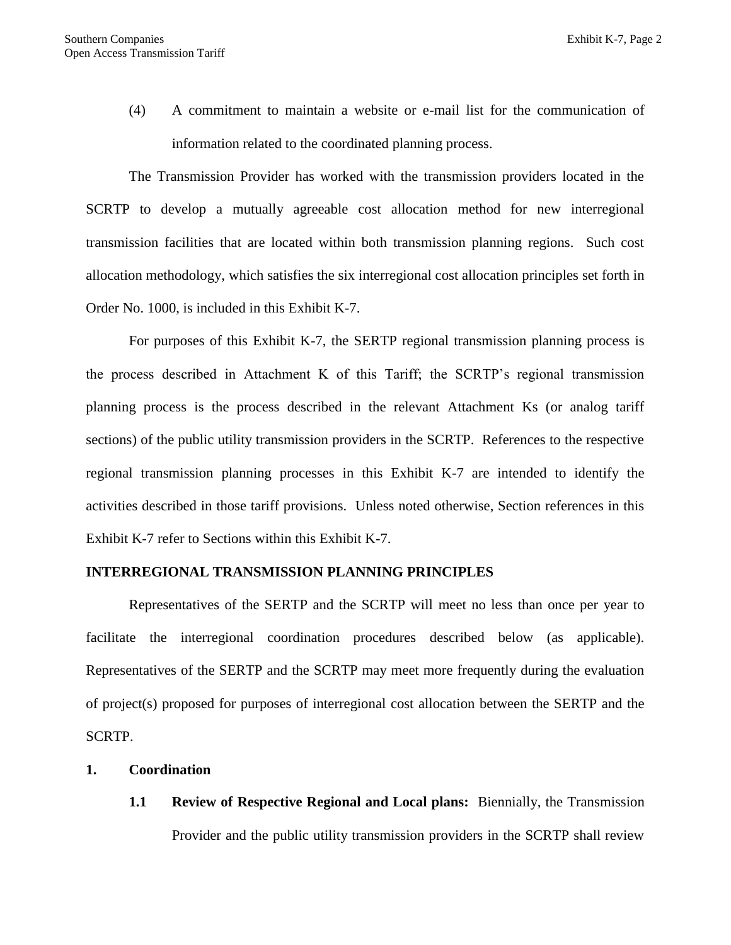(4) A commitment to maintain a website or e-mail list for the communication of information related to the coordinated planning process.

The Transmission Provider has worked with the transmission providers located in the SCRTP to develop a mutually agreeable cost allocation method for new interregional transmission facilities that are located within both transmission planning regions. Such cost allocation methodology, which satisfies the six interregional cost allocation principles set forth in Order No. 1000, is included in this Exhibit K-7.

For purposes of this Exhibit K-7, the SERTP regional transmission planning process is the process described in Attachment K of this Tariff; the SCRTP's regional transmission planning process is the process described in the relevant Attachment Ks (or analog tariff sections) of the public utility transmission providers in the SCRTP. References to the respective regional transmission planning processes in this Exhibit K-7 are intended to identify the activities described in those tariff provisions. Unless noted otherwise, Section references in this Exhibit K-7 refer to Sections within this Exhibit K-7.

#### **INTERREGIONAL TRANSMISSION PLANNING PRINCIPLES**

Representatives of the SERTP and the SCRTP will meet no less than once per year to facilitate the interregional coordination procedures described below (as applicable). Representatives of the SERTP and the SCRTP may meet more frequently during the evaluation of project(s) proposed for purposes of interregional cost allocation between the SERTP and the SCRTP.

- **1. Coordination** 
	- **1.1 Review of Respective Regional and Local plans:** Biennially, the Transmission Provider and the public utility transmission providers in the SCRTP shall review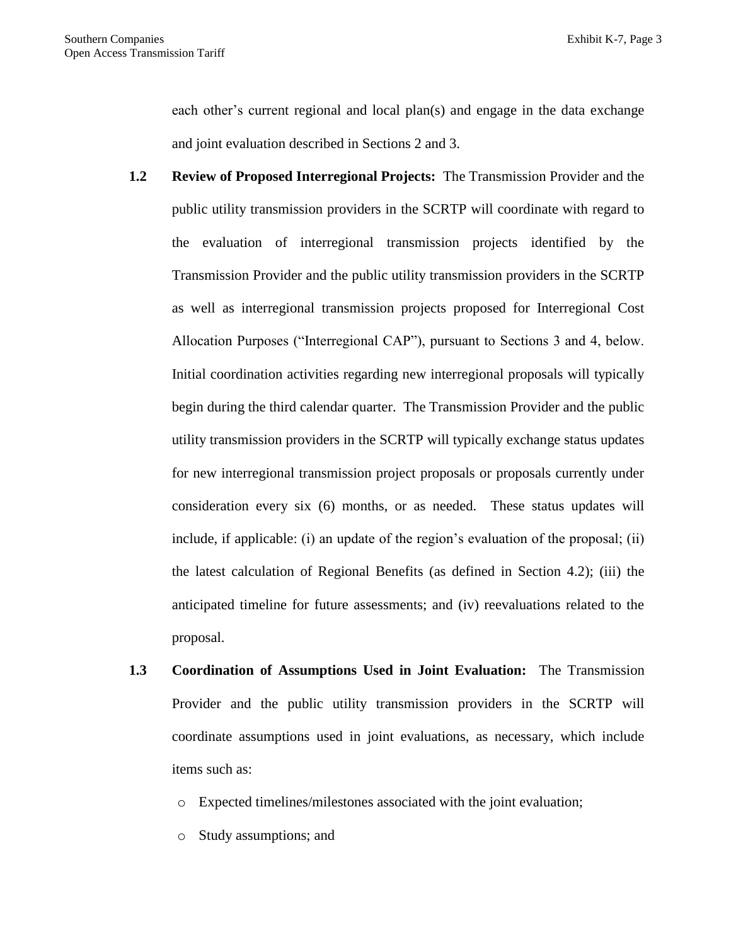each other's current regional and local plan(s) and engage in the data exchange and joint evaluation described in Sections 2 and 3.

- **1.2 Review of Proposed Interregional Projects:** The Transmission Provider and the public utility transmission providers in the SCRTP will coordinate with regard to the evaluation of interregional transmission projects identified by the Transmission Provider and the public utility transmission providers in the SCRTP as well as interregional transmission projects proposed for Interregional Cost Allocation Purposes ("Interregional CAP"), pursuant to Sections 3 and 4, below. Initial coordination activities regarding new interregional proposals will typically begin during the third calendar quarter. The Transmission Provider and the public utility transmission providers in the SCRTP will typically exchange status updates for new interregional transmission project proposals or proposals currently under consideration every six (6) months, or as needed. These status updates will include, if applicable: (i) an update of the region's evaluation of the proposal; (ii) the latest calculation of Regional Benefits (as defined in Section 4.2); (iii) the anticipated timeline for future assessments; and (iv) reevaluations related to the proposal.
- **1.3 Coordination of Assumptions Used in Joint Evaluation:** The Transmission Provider and the public utility transmission providers in the SCRTP will coordinate assumptions used in joint evaluations, as necessary, which include items such as:
	- o Expected timelines/milestones associated with the joint evaluation;
	- o Study assumptions; and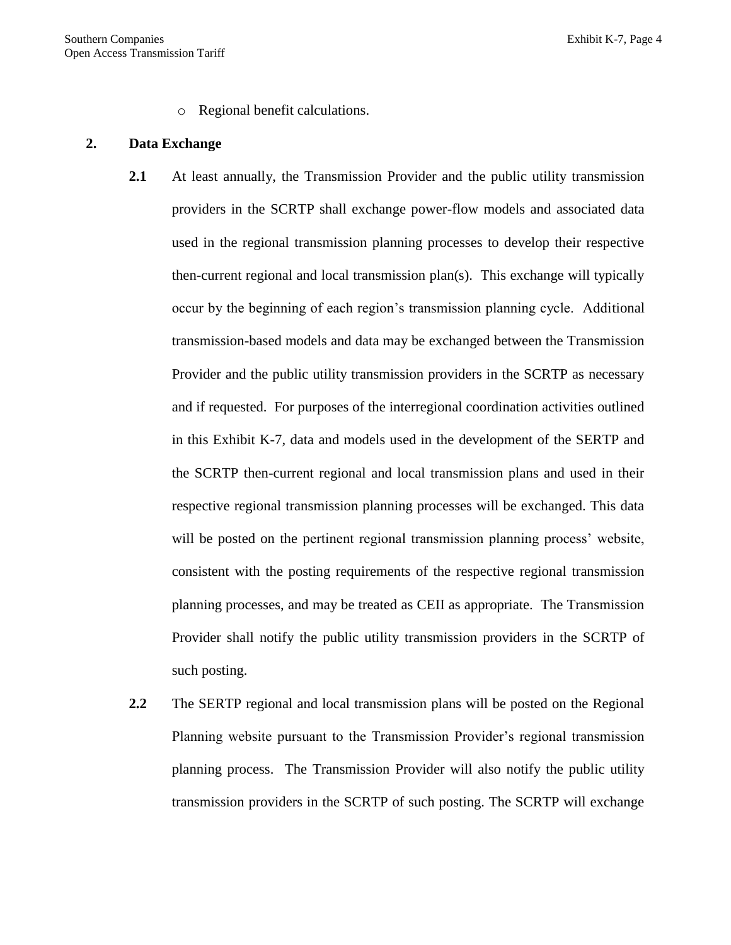o Regional benefit calculations.

#### **2. Data Exchange**

- **2.1** At least annually, the Transmission Provider and the public utility transmission providers in the SCRTP shall exchange power-flow models and associated data used in the regional transmission planning processes to develop their respective then-current regional and local transmission plan(s). This exchange will typically occur by the beginning of each region's transmission planning cycle. Additional transmission-based models and data may be exchanged between the Transmission Provider and the public utility transmission providers in the SCRTP as necessary and if requested. For purposes of the interregional coordination activities outlined in this Exhibit K-7, data and models used in the development of the SERTP and the SCRTP then-current regional and local transmission plans and used in their respective regional transmission planning processes will be exchanged. This data will be posted on the pertinent regional transmission planning process' website, consistent with the posting requirements of the respective regional transmission planning processes, and may be treated as CEII as appropriate. The Transmission Provider shall notify the public utility transmission providers in the SCRTP of such posting.
- **2.2** The SERTP regional and local transmission plans will be posted on the Regional Planning website pursuant to the Transmission Provider's regional transmission planning process. The Transmission Provider will also notify the public utility transmission providers in the SCRTP of such posting. The SCRTP will exchange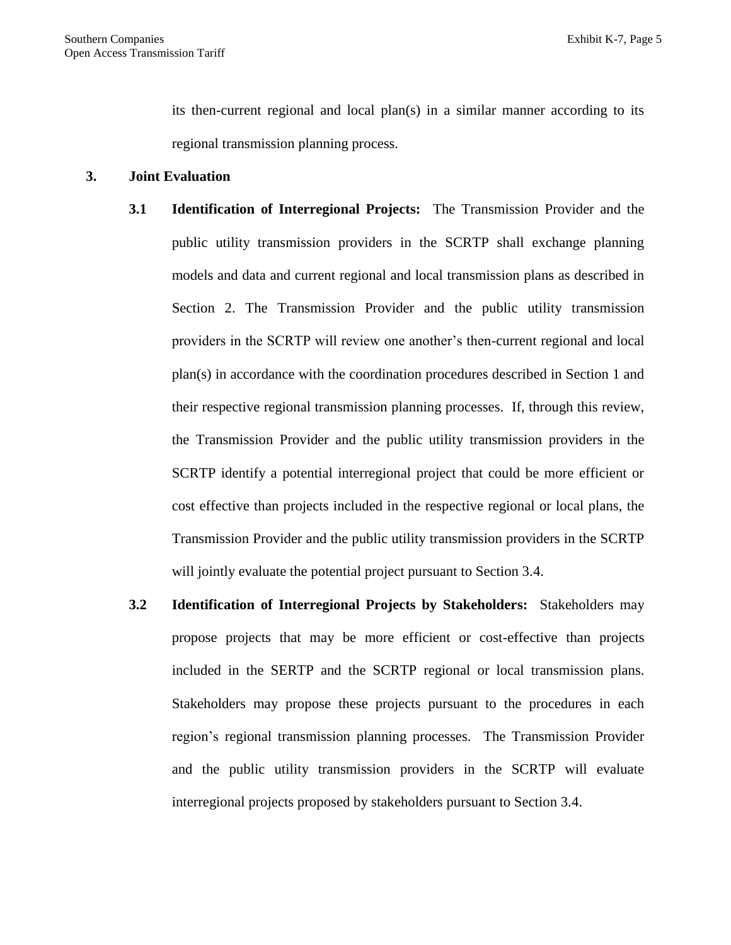its then-current regional and local plan(s) in a similar manner according to its regional transmission planning process.

### **3. Joint Evaluation**

- **3.1 Identification of Interregional Projects:** The Transmission Provider and the public utility transmission providers in the SCRTP shall exchange planning models and data and current regional and local transmission plans as described in Section 2. The Transmission Provider and the public utility transmission providers in the SCRTP will review one another's then-current regional and local plan(s) in accordance with the coordination procedures described in Section 1 and their respective regional transmission planning processes. If, through this review, the Transmission Provider and the public utility transmission providers in the SCRTP identify a potential interregional project that could be more efficient or cost effective than projects included in the respective regional or local plans, the Transmission Provider and the public utility transmission providers in the SCRTP will jointly evaluate the potential project pursuant to Section 3.4.
- **3.2 Identification of Interregional Projects by Stakeholders:** Stakeholders may propose projects that may be more efficient or cost-effective than projects included in the SERTP and the SCRTP regional or local transmission plans. Stakeholders may propose these projects pursuant to the procedures in each region's regional transmission planning processes. The Transmission Provider and the public utility transmission providers in the SCRTP will evaluate interregional projects proposed by stakeholders pursuant to Section 3.4.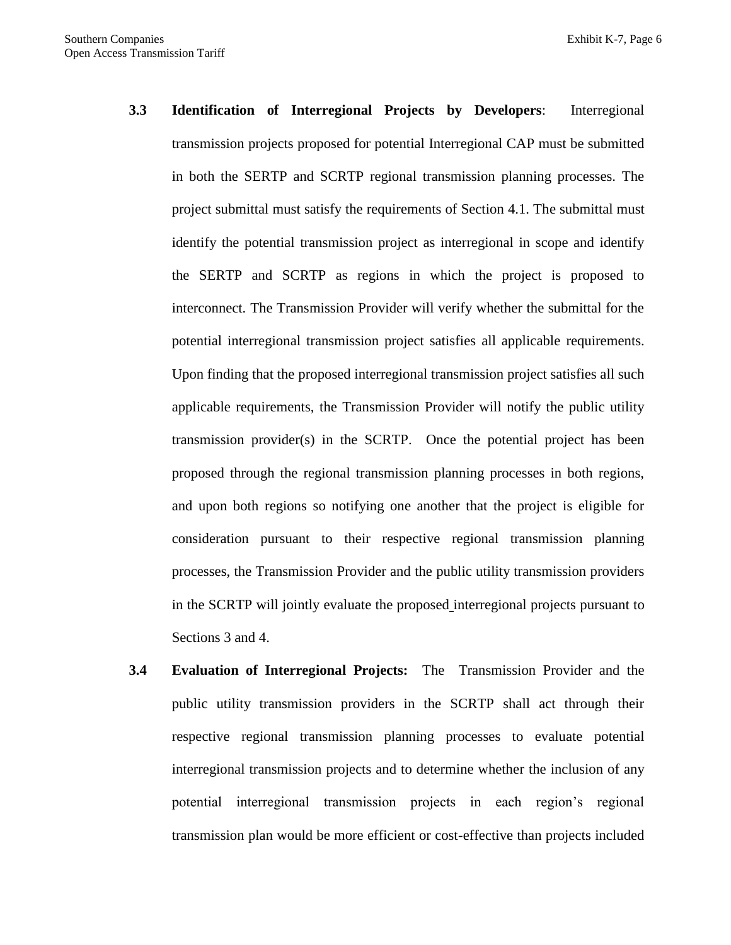- **3.3 Identification of Interregional Projects by Developers**: Interregional transmission projects proposed for potential Interregional CAP must be submitted in both the SERTP and SCRTP regional transmission planning processes. The project submittal must satisfy the requirements of Section 4.1. The submittal must identify the potential transmission project as interregional in scope and identify the SERTP and SCRTP as regions in which the project is proposed to interconnect. The Transmission Provider will verify whether the submittal for the potential interregional transmission project satisfies all applicable requirements. Upon finding that the proposed interregional transmission project satisfies all such applicable requirements, the Transmission Provider will notify the public utility transmission provider(s) in the SCRTP. Once the potential project has been proposed through the regional transmission planning processes in both regions, and upon both regions so notifying one another that the project is eligible for consideration pursuant to their respective regional transmission planning processes, the Transmission Provider and the public utility transmission providers in the SCRTP will jointly evaluate the proposed interregional projects pursuant to Sections 3 and 4.
- **3.4 Evaluation of Interregional Projects:** The Transmission Provider and the public utility transmission providers in the SCRTP shall act through their respective regional transmission planning processes to evaluate potential interregional transmission projects and to determine whether the inclusion of any potential interregional transmission projects in each region's regional transmission plan would be more efficient or cost-effective than projects included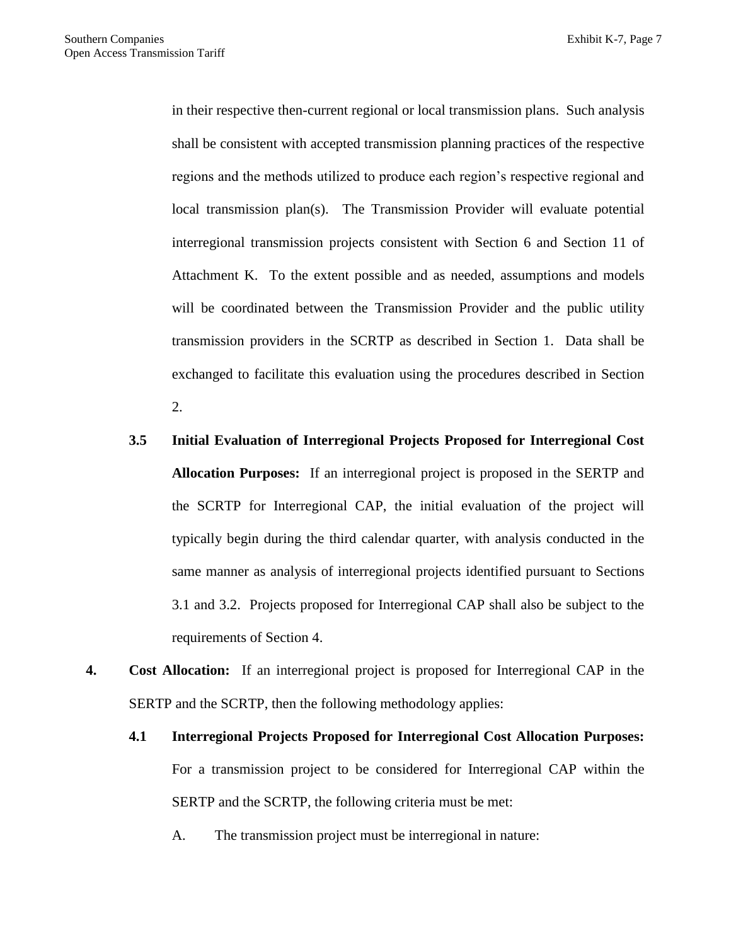in their respective then-current regional or local transmission plans. Such analysis shall be consistent with accepted transmission planning practices of the respective regions and the methods utilized to produce each region's respective regional and local transmission plan(s). The Transmission Provider will evaluate potential interregional transmission projects consistent with Section 6 and Section 11 of Attachment K. To the extent possible and as needed, assumptions and models will be coordinated between the Transmission Provider and the public utility transmission providers in the SCRTP as described in Section 1. Data shall be exchanged to facilitate this evaluation using the procedures described in Section 2.

- **3.5 Initial Evaluation of Interregional Projects Proposed for Interregional Cost Allocation Purposes:** If an interregional project is proposed in the SERTP and the SCRTP for Interregional CAP, the initial evaluation of the project will typically begin during the third calendar quarter, with analysis conducted in the same manner as analysis of interregional projects identified pursuant to Sections 3.1 and 3.2. Projects proposed for Interregional CAP shall also be subject to the requirements of Section 4.
- **4. Cost Allocation:** If an interregional project is proposed for Interregional CAP in the SERTP and the SCRTP, then the following methodology applies:
	- **4.1 Interregional Projects Proposed for Interregional Cost Allocation Purposes:** For a transmission project to be considered for Interregional CAP within the SERTP and the SCRTP, the following criteria must be met:
		- A. The transmission project must be interregional in nature: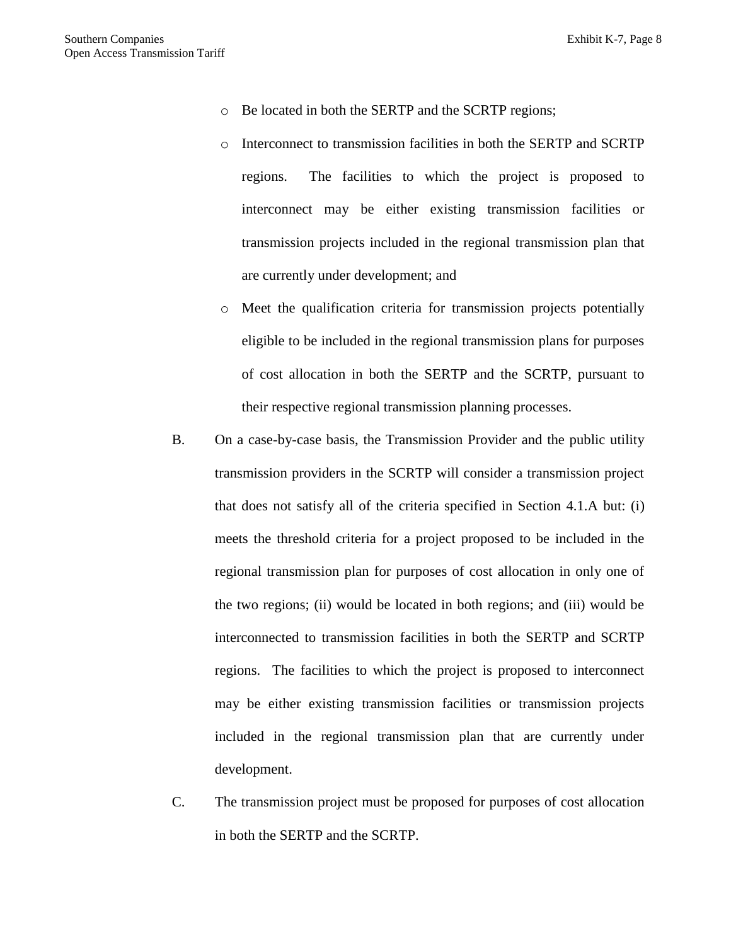- o Be located in both the SERTP and the SCRTP regions;
- o Interconnect to transmission facilities in both the SERTP and SCRTP regions. The facilities to which the project is proposed to interconnect may be either existing transmission facilities or transmission projects included in the regional transmission plan that are currently under development; and
- o Meet the qualification criteria for transmission projects potentially eligible to be included in the regional transmission plans for purposes of cost allocation in both the SERTP and the SCRTP, pursuant to their respective regional transmission planning processes.
- B. On a case-by-case basis, the Transmission Provider and the public utility transmission providers in the SCRTP will consider a transmission project that does not satisfy all of the criteria specified in Section 4.1.A but: (i) meets the threshold criteria for a project proposed to be included in the regional transmission plan for purposes of cost allocation in only one of the two regions; (ii) would be located in both regions; and (iii) would be interconnected to transmission facilities in both the SERTP and SCRTP regions. The facilities to which the project is proposed to interconnect may be either existing transmission facilities or transmission projects included in the regional transmission plan that are currently under development.
- C. The transmission project must be proposed for purposes of cost allocation in both the SERTP and the SCRTP.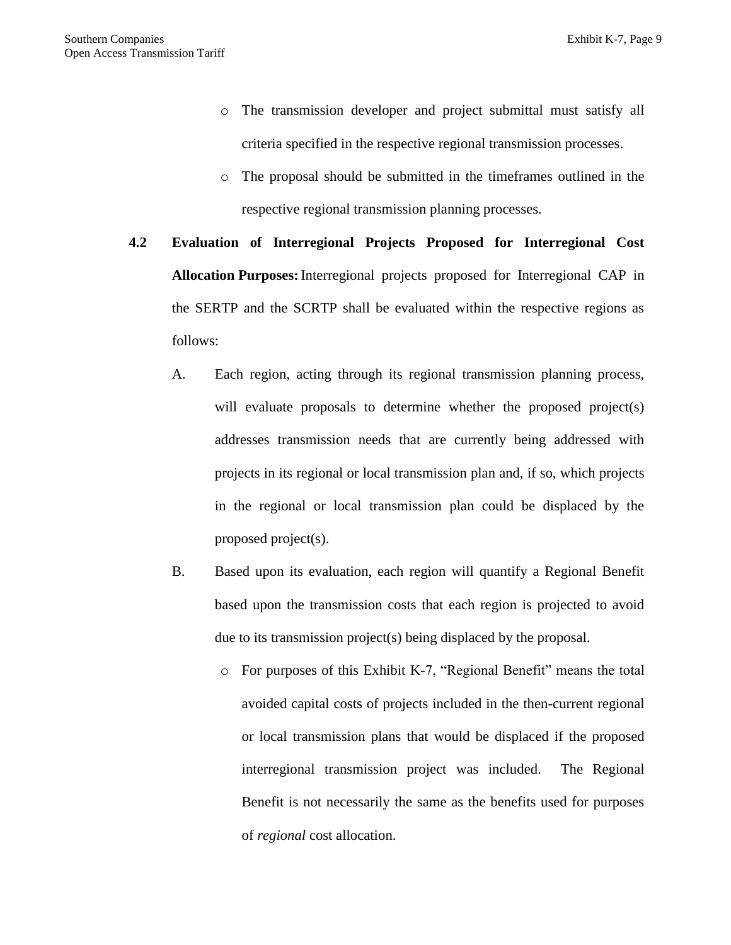- o The transmission developer and project submittal must satisfy all criteria specified in the respective regional transmission processes.
- o The proposal should be submitted in the timeframes outlined in the respective regional transmission planning processes.
- **4.2 Evaluation of Interregional Projects Proposed for Interregional Cost Allocation Purposes:**Interregional projects proposed for Interregional CAP in the SERTP and the SCRTP shall be evaluated within the respective regions as follows:
	- A. Each region, acting through its regional transmission planning process, will evaluate proposals to determine whether the proposed project(s) addresses transmission needs that are currently being addressed with projects in its regional or local transmission plan and, if so, which projects in the regional or local transmission plan could be displaced by the proposed project(s).
	- B. Based upon its evaluation, each region will quantify a Regional Benefit based upon the transmission costs that each region is projected to avoid due to its transmission project(s) being displaced by the proposal.
		- o For purposes of this Exhibit K-7, "Regional Benefit" means the total avoided capital costs of projects included in the then-current regional or local transmission plans that would be displaced if the proposed interregional transmission project was included. The Regional Benefit is not necessarily the same as the benefits used for purposes of *regional* cost allocation.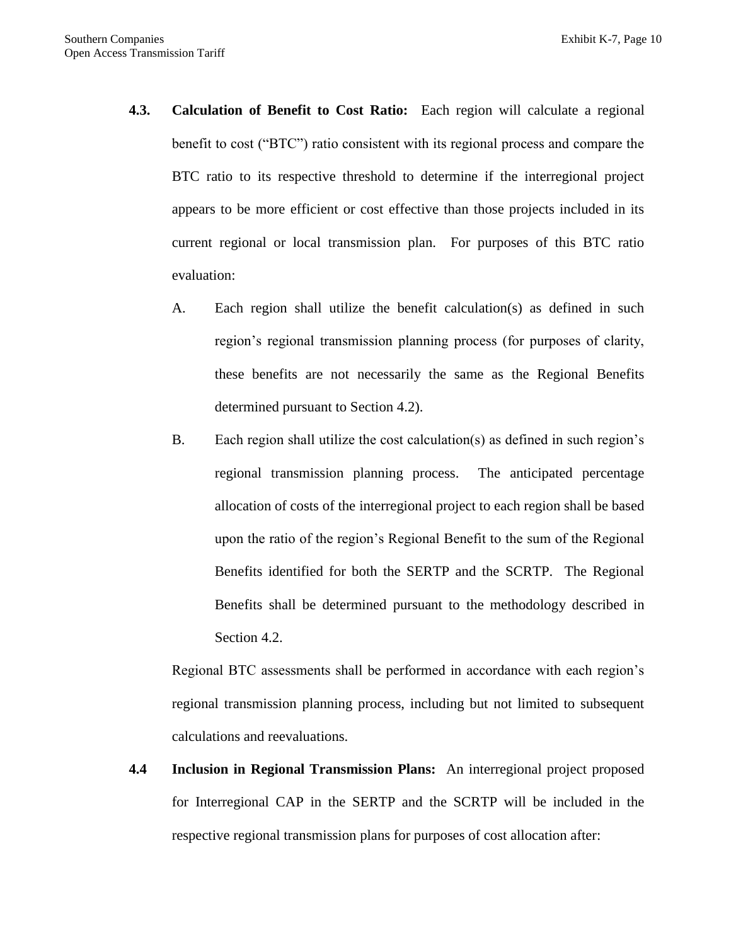- **4.3. Calculation of Benefit to Cost Ratio:** Each region will calculate a regional benefit to cost ("BTC") ratio consistent with its regional process and compare the BTC ratio to its respective threshold to determine if the interregional project appears to be more efficient or cost effective than those projects included in its current regional or local transmission plan. For purposes of this BTC ratio evaluation:
	- A. Each region shall utilize the benefit calculation(s) as defined in such region's regional transmission planning process (for purposes of clarity, these benefits are not necessarily the same as the Regional Benefits determined pursuant to Section 4.2).
	- B. Each region shall utilize the cost calculation(s) as defined in such region's regional transmission planning process. The anticipated percentage allocation of costs of the interregional project to each region shall be based upon the ratio of the region's Regional Benefit to the sum of the Regional Benefits identified for both the SERTP and the SCRTP. The Regional Benefits shall be determined pursuant to the methodology described in Section 4.2.

Regional BTC assessments shall be performed in accordance with each region's regional transmission planning process, including but not limited to subsequent calculations and reevaluations.

**4.4 Inclusion in Regional Transmission Plans:** An interregional project proposed for Interregional CAP in the SERTP and the SCRTP will be included in the respective regional transmission plans for purposes of cost allocation after: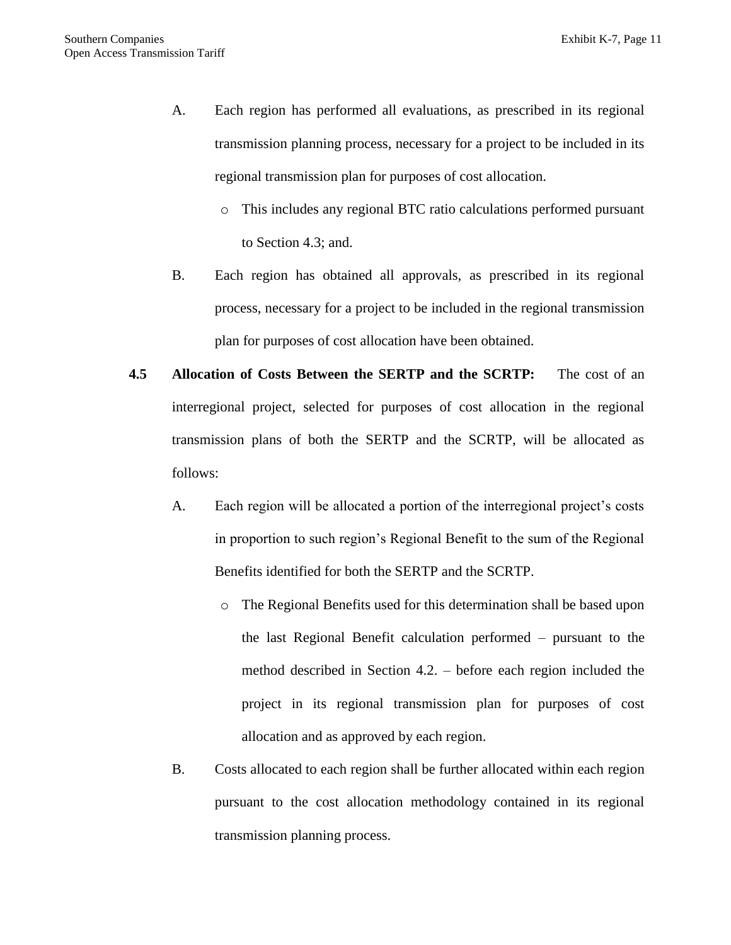- A. Each region has performed all evaluations, as prescribed in its regional transmission planning process, necessary for a project to be included in its regional transmission plan for purposes of cost allocation.
	- o This includes any regional BTC ratio calculations performed pursuant to Section 4.3; and.
- B. Each region has obtained all approvals, as prescribed in its regional process, necessary for a project to be included in the regional transmission plan for purposes of cost allocation have been obtained.
- **4.5 Allocation of Costs Between the SERTP and the SCRTP:** The cost of an interregional project, selected for purposes of cost allocation in the regional transmission plans of both the SERTP and the SCRTP, will be allocated as follows:
	- A. Each region will be allocated a portion of the interregional project's costs in proportion to such region's Regional Benefit to the sum of the Regional Benefits identified for both the SERTP and the SCRTP.
		- o The Regional Benefits used for this determination shall be based upon the last Regional Benefit calculation performed – pursuant to the method described in Section 4.2. – before each region included the project in its regional transmission plan for purposes of cost allocation and as approved by each region.
	- B. Costs allocated to each region shall be further allocated within each region pursuant to the cost allocation methodology contained in its regional transmission planning process.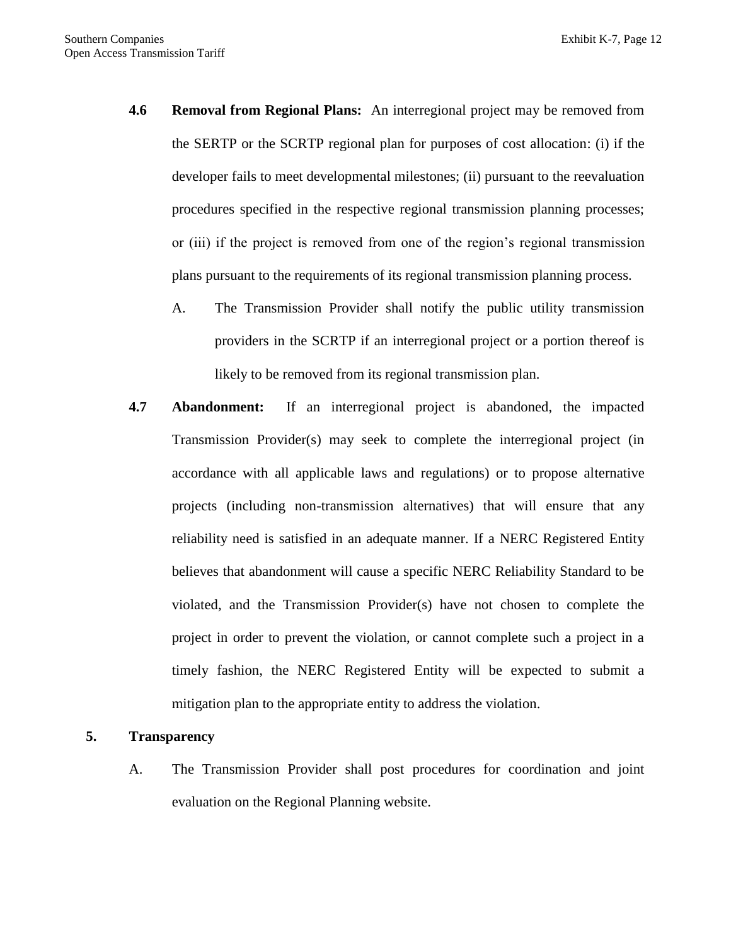- **4.6 Removal from Regional Plans:** An interregional project may be removed from the SERTP or the SCRTP regional plan for purposes of cost allocation: (i) if the developer fails to meet developmental milestones; (ii) pursuant to the reevaluation procedures specified in the respective regional transmission planning processes; or (iii) if the project is removed from one of the region's regional transmission plans pursuant to the requirements of its regional transmission planning process.
	- A. The Transmission Provider shall notify the public utility transmission providers in the SCRTP if an interregional project or a portion thereof is likely to be removed from its regional transmission plan.
- **4.7 Abandonment:** If an interregional project is abandoned, the impacted Transmission Provider(s) may seek to complete the interregional project (in accordance with all applicable laws and regulations) or to propose alternative projects (including non-transmission alternatives) that will ensure that any reliability need is satisfied in an adequate manner. If a NERC Registered Entity believes that abandonment will cause a specific NERC Reliability Standard to be violated, and the Transmission Provider(s) have not chosen to complete the project in order to prevent the violation, or cannot complete such a project in a timely fashion, the NERC Registered Entity will be expected to submit a mitigation plan to the appropriate entity to address the violation.

### **5. Transparency**

A. The Transmission Provider shall post procedures for coordination and joint evaluation on the Regional Planning website.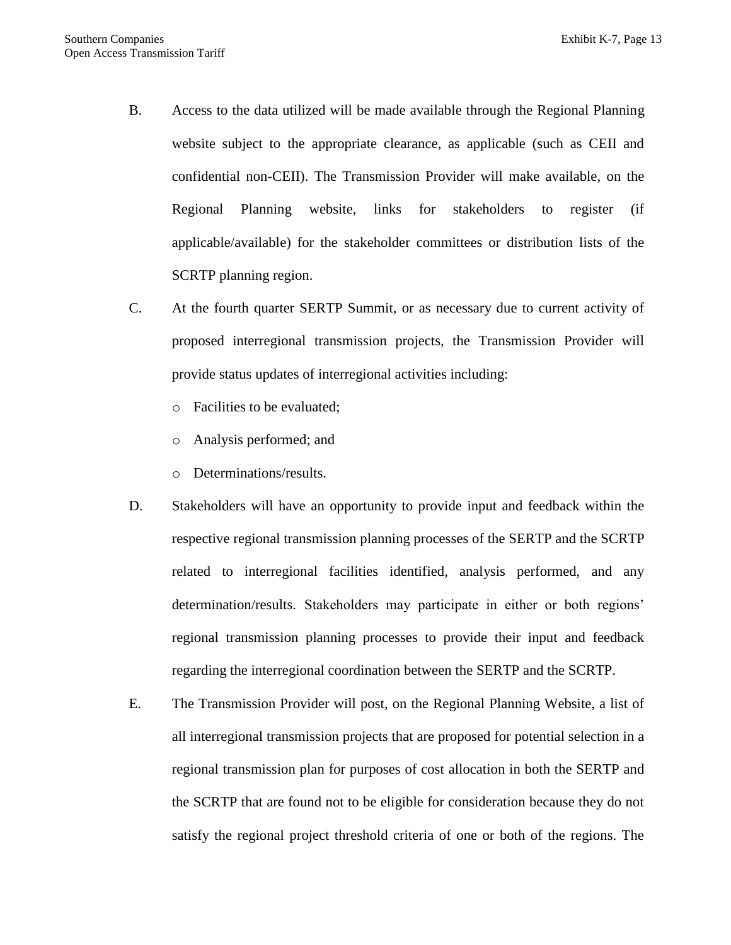- B. Access to the data utilized will be made available through the Regional Planning website subject to the appropriate clearance, as applicable (such as CEII and confidential non-CEII). The Transmission Provider will make available, on the Regional Planning website, links for stakeholders to register (if applicable/available) for the stakeholder committees or distribution lists of the SCRTP planning region.
- C. At the fourth quarter SERTP Summit, or as necessary due to current activity of proposed interregional transmission projects, the Transmission Provider will provide status updates of interregional activities including:
	- o Facilities to be evaluated;
	- o Analysis performed; and
	- o Determinations/results.
- D. Stakeholders will have an opportunity to provide input and feedback within the respective regional transmission planning processes of the SERTP and the SCRTP related to interregional facilities identified, analysis performed, and any determination/results. Stakeholders may participate in either or both regions' regional transmission planning processes to provide their input and feedback regarding the interregional coordination between the SERTP and the SCRTP.
- E. The Transmission Provider will post, on the Regional Planning Website, a list of all interregional transmission projects that are proposed for potential selection in a regional transmission plan for purposes of cost allocation in both the SERTP and the SCRTP that are found not to be eligible for consideration because they do not satisfy the regional project threshold criteria of one or both of the regions. The